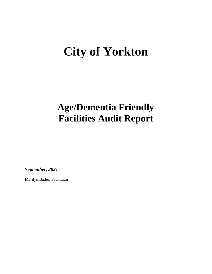# **City of Yorkton**

## **Age/Dementia Friendly Facilities Audit Report**

*September, 2021*

Marilyn Bader, Facilitator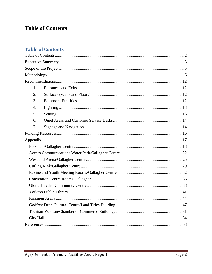## <span id="page-1-0"></span>**Table of Contents**

### **Table of Contents**

| 1.               |  |
|------------------|--|
| 2.               |  |
| 3.               |  |
| $\overline{4}$ . |  |
| 5.               |  |
| 6.               |  |
| 7.               |  |
|                  |  |
|                  |  |
|                  |  |
|                  |  |
|                  |  |
|                  |  |
|                  |  |
|                  |  |
|                  |  |
|                  |  |
|                  |  |
|                  |  |
|                  |  |
|                  |  |
|                  |  |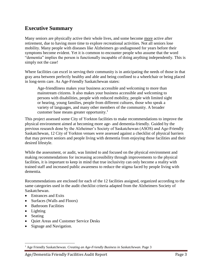## <span id="page-2-0"></span>**Executive Summary**

Many seniors are physically active their whole lives, and some become more active after retirement, due to having more time to explore recreational activities. Not all seniors lose mobility. Many people with diseases like Alzheimers go undiagnosed for years before their symptoms become evident. Yet it is common to encounter people who assume that the word "dementia" implies the person is functionally incapable of doing anything independently. This is simply not the case!

Where facilities can excel in serving their community is in anticipating the needs of those in that gray area between perfectly healthy and able and being confined to a wheelchair or being placed in long-term care. As Age-Friendly Saskatchewan states:

Age-friendliness makes your business accessible and welcoming to more than mainstream citizens. It also makes your business accessible and welcoming to persons with disabilities, people with reduced mobility, people with limited sight or hearing, young families, people from different cultures, those who speak a variety of languages, and many other members of the community. A broader customer base means greater opportunity.<sup>1</sup>

This project assessed some City of Yorkton facilities to make recommendations to improve the physical environment aimed at becoming more age- and dementia-friendly. Guided by the previous research done by the Alzheimer's Society of Saskatchewan (ASOS) and Age-Friendly Saskatchewan, 12 City of Yorkton venues were assessed against a checklist of physical barriers that may prevent seniors and people living with dementia from enjoying those facilities and their desired lifestyle.

While the assessment, or audit, was limited to and focused on the physical environment and making recommendations for increasing accessibility through improvements to the physical facilities, it is important to keep in mind that true inclusivity can only become a reality with trained staff and increased public awareness to reduce the stigma faced by people living with dementia.

Recommendations are enclosed for each of the 12 facilities assigned, organized according to the same categories used in the audit checklist criteria adapted from the Alzheimers Society of Saskatchewan.

- Entrances and Exits
- Surfaces (Walls and Floors)
- Bathroom Facilities
- Lighting
- Seating

 $\overline{a}$ 

- Ouiet Areas and Customer Service Desks
- Signage and Navigation.

<sup>1</sup> Age Friendly Saskatchewan. *Creating an Age-Friendly Business in Saskatchewan*. Page 3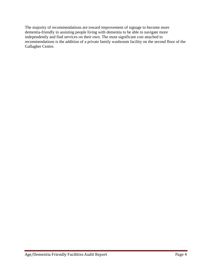The majority of recommendations are toward improvement of signage to become more dementia-friendly in assisting people living with dementia to be able to navigate more independently and find services on their own. The most significant cost attached to recommendations is the addition of a private family washroom facility on the second floor of the Gallagher Centre.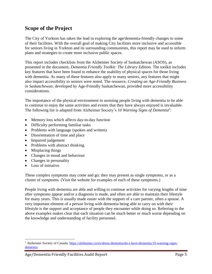## <span id="page-4-0"></span>**Scope of the Project**

The City of Yorkton has taken the lead in exploring the age/dementia-friendly changes to some of their facilities. With the overall goal of making City facilities more inclusive and accessible for seniors living in Yorkton and its surrounding communities, this report may be used to inform plans and strategies to create more inclusive public spaces.

This report includes checklists from the Alzheimer Society of Saskatchewan (ASOS), as presented in the document, *Dementia Friendly Toolkit: The Library Edition*. The toolkit includes key features that have been found to enhance the usability of physical spaces for those living with dementia. As many of these features also apply to many seniors, any features that might also impact accessibility to seniors were noted. The resource, *Creating an Age-Friendly Business in Saskatchewan*, developed by Age-Friendly Saskatchewan, provided more accessibility considerations.

The importance of the physical environment in assisting people living with dementia to be able to continue to enjoy the same activities and events that they have always enjoyed is invaluable. The following list is adapted from Alzheimer Society's *10 Warning Signs of Dementia<sup>2</sup>* :

- Memory loss which affects day-to-day function
- Difficulty performing familiar tasks
- Problems with language (spoken and written)
- Disorientation of time and place
- Impaired judgement
- Problems with abstract thinking.
- Misplacing things
- Changes in mood and behaviour
- Changes in personality
- Loss of initiative

 $\overline{a}$ 

These complex symptoms may come and go; they may present as single symptoms, or as a cluster of symptoms. (Visit the website for examples of each of these symptoms.)

People living with dementia are able and willing to continue activities for varying lengths of time after symptoms appear and/or a diagnosis is made, and often are able to maintain their lifestyle for many years. This is usually made easier with the support of a care partner, often a spouse. A very important element of a person living with dementia being able to carry on with their lifestyle is the support and acceptance of people they encounter while doing so. Referring to the above examples makes clear that each situation can be much better or much worse depending on the knowledge and understanding of facility personnel.

<sup>2</sup> Alzheimer Society of Canada. [https://alzheimer.ca/en/about-dementia/do-i-have-dementia/10-warning-signs](https://alzheimer.ca/en/about-dementia/do-i-have-dementia/10-warning-signs-dementia)[dementia](https://alzheimer.ca/en/about-dementia/do-i-have-dementia/10-warning-signs-dementia)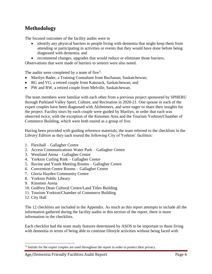## <span id="page-5-0"></span>**Methodology**

The focused outcomes of the facility audits were to

- identify any physical barriers to people living with dementia that might keep them from attending or participating in activities or events that they would have done before being diagnosed with dementia; and
- recommend changes, upgrades that would reduce or eliminate those barriers.

Observations that were made of barriers to seniors were also noted.

The audits were completed by a team of five<sup>3</sup>:

- Marilyn Bader, a Training Consultant from Buchanan, Saskatchewan;
- RG and VG, a retired couple from Kamsack, Saskatchewan; and
- PW and RW, a retired couple from Melville, Saskatchewan.

The team members were familiar with each other from a previous project sponsored by SPHERU through Parkland Valley Sport, Culture, and Recreation in 2020-21. One spouse in each of the expert couples have been diagnosed with Alzheimers, and were eager to share their insights for the project. Facility tours by each couple were guided by Marilyn, in order that each was observed twice, with the exception of the Kinsmen Area and the Tourism Yorkton/Chamber of Commerce Building, which were both toured as a group of five.

Having been provided with guiding reference materials, the team referred to the checklists in the *Library Edition* as they each toured the following City of Yorkton' facilities:

- 1. Flexihall Gallagher Centre
- 2. Access Communications Water Park Gallagher Centre
- 3. Westland Arena Gallagher Centre
- 4. Yorkton Curling Rink Gallagher Centre
- 5. Ravine and Youth Meeting Rooms Gallagher Centre
- *6.* Convention Centre Rooms Gallagher Centre
- 7. Gloria Hayden Community Centre
- 8. Yorkton Public Library
- 9. Kinsmen Arena
- 10. Godfrey Dean Cultural Centre/Land Titles Building
- 11. Tourism Yorkton/Chamber of Commerce Building
- 12. City Hall

 $\overline{a}$ 

The 12 checklists are included in the Appendix. As much as this report attempts to include all the information gathered during the facility audits in this section of the report, there is more information in the checklists.

Each checklist had the team study features determined by ASOS to be important to those living with dementia in terms of being able to continue lifestyle activities without being faced with

<sup>&</sup>lt;sup>33</sup> Initials for the expert couples are used throughout the report in order to protect their privacy.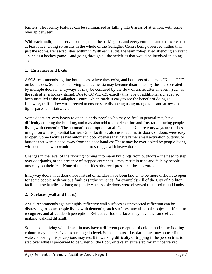barriers. The facility features can be summarized as falling into 6 areas of attention, with some overlap between:

With each audit, the observations began in the parking lot, and every entrance and exit were used at least once. Doing so results in the whole of the Gallagher Centre being observed, rather than just the rooms/arenas/facilities within it. With each audit, the team role-played attending an event – such as a hockey game – and going through all the activities that would be involved in doing so.

#### **1. Entrances and Exits**

ASOS recommends signing both doors, where they exist, and both sets of doors as IN and OUT on both sides. Some people living with dementia may become disoriented by the space created by multiple doors in entryways or may be confused by the flow of traffic after an event (such as the rush after a hockey game). Due to COVID-19, exactly this type of additional signage had been installed at the Gallagher Centre, which made it easy to see the benefit of doing so. Likewise, traffic flow was directed to ensure safe distancing using orange tape and arrows in tight spaces and stairways.

Some doors are very heavy to open; elderly people who may be frail in general may have difficulty entering the building, and may also add to disorientation and frustration facing people living with dementia. The automatic door options at all Gallagher Centre entryways are the best mitigation of this potential barrier. Other facilities also used automatic doors, or doors were easy to open. Some facilities had automatic door openers that have rather small activation buttons, or buttons that were placed away from the door handles: These may be overlooked by people living with dementia, who would then be left to struggle with heavy doors.

Changes in the level of the flooring coming into many buildings from outdoors – the need to step over doorjambs, or the presence of stepped entrances – may result in trips and falls by people unsteady on their feet. None of the facilities observed presented these hazards.

Entryway doors with doorknobs instead of handles have been known to be more difficult to open for some people with various frailties (arthritic hands, for example): All of the City of Yorkton facilities use handles or bars; no publicly accessible doors were observed that used round knobs.

#### **2. Surfaces (wall and floors)**

ASOS recommends against highly reflective wall surfaces as unexpected reflection can be distressing to some people living with dementia; such surfaces may also make objects difficult to recognize, and affect depth perception. Reflective floor surfaces may have the same effect, making walking difficult.

Some people living with dementia may have a different perception of colour, and some flooring colours may be perceived as a change in level. Some colours – i.e. dark blue, may appear like water. Flooring misperceptions may result in walking difficulty or tripping if the person tries to step over what is perceived to be water on the floor, or take an extra step for an unperceived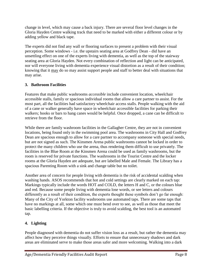change in level, which may cause a back injury. There are several floor level changes in the Gloria Hayden Centre walking track that need to be marked with either a different colour or by adding yellow and black tape.

The experts did not find any wall or flooring surfaces to present a problem with their visual perception. Some windows - i.e. the upstairs seating area at Godfrey Dean - did have an unsettling effect on one of the experts living with dementia, as well as the top of the stairway seating area at Gloria Hayden. Not every combination of reflection and light can be anticipated, nor will everyone living with dementia experience visual distortion as a result of their condition; knowing that it may do so may assist support people and staff to better deal with situations that may arise.

#### **3. Bathroom Facilities**

Features that make public washrooms *accessible* include convenient location, wheelchair accessible stalls, family or spacious individual rooms that allow a care partner to assist. For the most part, all the facilities had satisfactory wheelchair access stalls. People walking with the aid of a cane or walker generally have space in wheelchair accessible facilities for parking their walkers; hooks or bars to hang canes would be helpful. Once dropped, a cane can be difficult to retrieve from the floor.

While there are family washroom facilities in the Gallagher Centre, they are not in convenient locations, being found only in the swimming pool area. The washrooms in City Hall and Godfrey Dean are spacious enough to allow for a care partner to accompany someone with special needs, but are not signed as such. The Kinsmen Arena public washrooms cannot be locked in order to protect the many children who use the arena, thus rendering them difficult to use privately. The facilities in the Blue Room at the Kinsmen Arena could be used as family washrooms, but the room is reserved for private functions. The washrooms in the Tourist Centre and the locker rooms at the Gloria Hayden are adequate, but are labelled Male and Female. The Library has a spacious Parenting Room with a sink and change table but no toilet.

Another area of concern for people living with dementia is the risk of accidental scalding when washing hands. ASOS recommends that hot and cold settings are clearly marked on each tap: Markings typically include the words HOT and COLD, the letters H and C, or the colours blue and red. Because some people living with dementia lose words, or see letters and colours differently as a result of their condition, the experts thought these symbols don't go far enough: Many of the City of Yorkton facility washrooms use automated taps. There are some taps that have no markings at all, some which one must bend over to see, as well as those that meet the basic labelling criteria. If the objective is truly to avoid scalding, the best tool is an automated tap.

#### **4. Lighting**

People diagnosed with dementia do not suffer vision loss as a result, but rather the dementia may affect how they perceive things visually. Efforts to ensure that unnecessary shadows and dark areas are eliminated serve to make those areas safer and more welcoming. Walking into a dark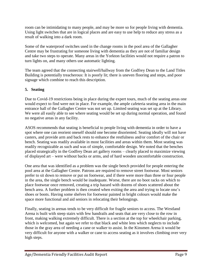room can be intimidating to many people, and may be more so for people living with dementia. Using light switches that are in logical places and are easy to use help to reduce any stress as a result of walking into a dark room.

Some of the waterproof switches used in the change rooms in the pool area of the Gallagher Centre may be frustrating for someone living with dementia as they are not of familiar design and take two steps to operate. Many areas in the Yorkton facilities would not require a patron to turn lights on, and many others use automatic lighting.

The team agreed that the connecting stairwell/hallway from the Godfrey Dean to the Land Titles Building is potentially treacherous: It is poorly lit; there is uneven flooring and steps, and poor signage which combine to reach this description.

#### **5. Seating**

Due to Covid-19 restrictions being in place during the expert tours, much of the seating areas one would expect to find were not in place. For example, the ample cafeteria seating area in the main entrance hall of the Gallagher Centre was not set up. Limited seating was set up at the Library. We were all easily able to see where seating would be set up during normal operation, and found no negative areas in any facility.

ASOS recommends that seating is beneficial to people living with dementia in order to have a spot where one can reorient oneself should one become disoriented. Seating ideally will not have casters, and provide arm and back rests to enhance the restfulness and/or comfort of the chair or bench. Seating was readily available in most facilities and areas within them. Most seating was readily recognizable as such and was of simple, comfortable design. We noted that the benches placed strategically in the Godfrey Dean art gallery rooms – clearly placed to maximize viewing of displayed art – were without backs or arms, and of hard wooden uncomfortable construction.

One area that was identified as a problem was the single bench provided for people entering the pool area at the Gallagher Centre. Patrons are required to remove street footwear. Most seniors prefer to sit down to remove or put on footwear, and if there were more than three or four people in the area, the single bench would be inadequate. Worse, there are no boot racks on which to place footwear once removed, creating a trip hazard with dozens of shoes scattered about the bench area. A further problem is then created when exiting the area and trying to locate one's shoes or boots. Having some shelves for footwear painted in bright colours would make the space more functional and aid seniors in relocating their belongings.

Finally, seating in arenas tends to be very difficult for fragile seniors to access. The Westland Arena is built with steep stairs with few handrails and seats that are very close to the row in front, making walking extremely difficult. There is a section at the top for wheelchair parking, which is welcomed, but again we refer to that black and white lens which neglects to include those in the gray area of needing a cane or walker to assist. In the Kinsmen Arena it would be very difficult for anyone with a walker or cane to access seating as it involves climbing over very high steps.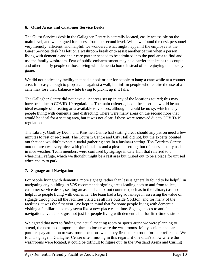#### **6. Quiet Areas and Customer Service Desks**

The Guest Services desk in the Gallagher Centre is centrally located, easily accessible on the main level, and well-signed for access from the second level. While we found the desk personnel very friendly, efficient, and helpful, we wondered what might happen if the employee at the Guest Services desk has left on a washroom break or to assist another patron when a person living with dementia and their care partner needed to be admitted into the pool area to find and use the family washroom. Fear of public embarrassment may be a barrier that keeps this couple and other elderly people or those living with dementia home instead of out enjoying the hockey game.

We did not notice any facility that had a hook or bar for people to hang a cane while at a counter area. It is easy enough to prop a cane against a wall, but infirm people who require the use of a cane may lose their balance while trying to pick it up if it falls.

The Gallagher Centre did not have quiet areas set up in any of the locations toured; this may have been due to COVID-19 regulations. The main cafeteria, had it been set up, would be an ideal example of a seating area available to visitors, although it could be noisy, which many people living with dementia find distracting. There were many areas on the second floor that would be ideal for a seating area, but it was not clear if these were removed due to COVID-19 regulations.

The Library, Godfrey Dean, and Kinsmen Centre had seating areas should any patron need a few minutes to rest or re-orient. The Tourism Centre and City Hall did not, but the experts pointed out that one wouldn't expect a social gathering area in a business setting. The Tourism Centre outdoor area was very nice, with picnic tables and a pleasant setting, but of course is only usable in nice weather. Team members were confused by signage in City Hall that referred to a wheelchair refuge, which we thought might be a rest area but turned out to be a place for unused wheelchairs to park.

#### **7. Signage and Navigation**

For people living with dementia, more signage rather than less is generally found to be helpful in navigating any building. ASOS recommends signing areas leading both to and from toilets, customer service desks, seating areas, and check-out counters (such as in the Library) as most helpful to people living with dementia. The team had a big advantage in assessing the value of signage throughout all the facilities visited as all live outside Yorkton, and for many of the facilities, it was the first visit. We kept in mind that for some people living with dementia, visiting a familiar place may seem like a new place each time. Signage needs to anticipate the navigational value of signs, not just for people living with dementia but for first-time visitors.

We agreed that next to finding the actual meeting room or sports arena we were planning to attend, the next most important place to locate were the washrooms. Many seniors and care partners pay attention to washroom locations when they first enter a room for later reference. We found signage in Gallagher Centre often missing in this regard; if one didn't know where the washrooms were located, it could be difficult to figure out. In the Westland Arena and Curling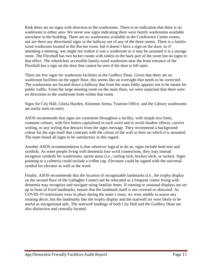Rink there are no signs with direction to the washrooms. There is no indication that there is no washroom in either area. We never saw signs indicating there were family washrooms available anywhere in the building. There are no washrooms available in the Conference Centre rooms, nor are there any directional signs in the hallway out of any of the three rooms. There is a familysized washroom located in the Ravine room, but it doesn't have a sign on the door, so if attending a meeting, one might not realize it was a washroom as it may be assumed it is a storage room. The Flexihall has two locker rooms with toilets in the back part of the room but no signs to that effect. The wheelchair accessible family-sized washroom near the front entrance of the Flexihall has a sign on the door that cannot be seen if the door is left open.

There are few signs for washroom facilities in the Godfrey Dean. Given that there are no washroom facilities on the upper floor, this seems like an oversight that needs to be corrected. The washrooms are located down a hallway that from the main lobby appears not to be meant for public traffic. From the large meeting room on the main floor, we were surprised that there were no directions to the washroom from within that room.

Signs for City Hall, Gloria Hayden, Kinsmen Arena, Tourism Office, and the Library washrooms are easily seen on entry.

ASOS recommends that signs are consistent throughout a facility, with simple text fonts, common colours, with first letters capitalized in each word and to avoid shadow effects, cursive writing, or any styling that detracts from the signs message. They recommend a background colour for the sign itself that contrasts with the colour of the wall or door on which it is mounted. The team found all signs to be satisfactory in this regard.

Another ASOS recommendation is that wherever logical to do so, signs include both text and symbols. As some people living with dementia lose word connections, they may instead recognize symbols for washrooms, sports areas (i.e., curling rock, hockey stick, or racket). Signs pointing to a cafeteria could include a coffee cup. Elevators could be signed with the universal symbol for elevator as well as the word.

Finally, ASOS recommends that the location of recognizable landmarks (i.e., the trophy display on the second floor of the Gallagher Center) not be relocated as a frequent visitor living with dementia may recognize and navigate using familiar items. If rotating or seasonal displays are set up in front of fixed landmarks, ensure that the landmark itself is not covered or obscured. As COVID-19 restrictions were in place during the team's tours, we were unable to assess any rotating décor, but the landmarks like the trophy display and the stairwell art were likely to be useful as navigational aids. The stairwell landings of both City Hall and the Godfrey Dean are also distinctive and centrally located.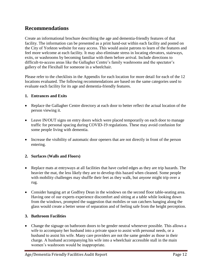## <span id="page-11-0"></span>**Recommendations**

Create an informational brochure describing the age and dementia-friendly features of that facility. The information can be presented as a print hand-out within each facility and posted on the City of Yorkton website for easy access. This would assist patrons to learn of the features and feel more welcome at each facility. It may also eliminate stress in locating elevators, stairways, exits, or washrooms by becoming familiar with them before arrival. Include directions to difficult-to-access areas like the Gallagher Centre's family washrooms and the spectator's gallery of the Flexihall for someone in a wheelchair.

Please refer to the checklists in the Appendix for each location for more detail for each of the 12 locations evaluated. The following recommendations are based on the same categories used to evaluate each facility for its age and dementia-friendly features.

#### <span id="page-11-1"></span>**1. Entrances and Exits**

- Replace the Gallagher Centre directory at each door to better reflect the actual location of the person viewing it.
- Leave IN/OUT signs on entry doors which were placed temporarily on each door to manage traffic for personal spacing during COVID-19 regulations. These may avoid confusion for some people living with dementia.
- Increase the visibility of automatic door openers that are not directly in front of the person entering.

#### <span id="page-11-2"></span>**2. Surfaces (Walls and Floors)**

- Replace mats at entryways at all facilities that have curled edges as they are trip hazards. The heavier the mat, the less likely they are to develop this hazard when cleaned. Some people with mobility challenges may shuffle their feet as they walk, but *anyone* might trip over a rug.
- Consider hanging art at Godfrey Dean in the windows on the second floor table-seating area. Having one of our experts experience discomfort and sitting at a table while looking down from the windows, prompted the suggestion that mobiles or sun catchers hanging along the glass would create a better sense of separation and of feeling safe from the height perception.

#### <span id="page-11-3"></span>**3. Bathroom Facilities**

 Change the signage on bathroom doors to be gender neutral whenever possible. This allows a wife to accompany her husband into a private space to assist with personal needs, or a husband to assist his wife. Many care providers are not the same gender as those in their charge. A husband accompanying his wife into a wheelchair accessible stall in the main women's washroom would be inappropriate.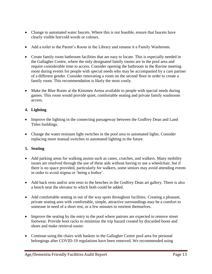- Change to automated water faucets. Where this is not feasible, ensure that faucets have clearly visible hot/cold words or colours.
- Add a toilet to the Parent's Room in the Library and rename it a Family Washroom.
- Create family room bathroom facilities that are easy to locate. This is especially needed in the Gallagher Centre, where the only designated family rooms are in the pool area and require considerable time to access. Consider opening the bathroom in the Ravine meeting room during events for people with special needs who may be accompanied by a care partner of a different gender. Consider renovating a room on the second floor in order to create a family room. This recommendation is likely the most costly.
- Make the Blue Room at the Kinsmen Arena available to people with special needs during games. This room would provide quiet, comfortable seating and private family washroom access.

#### <span id="page-12-0"></span>**4. Lighting**

- Improve the lighting in the connecting passageway between the Godfrey Dean and Land Titles buildings.
- Change the water resistant light switches in the pool area to automated lights. Consider replacing more manual switches to automated lighting in the future.

#### <span id="page-12-1"></span>**5. Seating**

- Add parking areas for walking assists such as canes, crutches, and walkers. Many mobility issues are resolved through the use of these aids without having to use a wheelchair, but if there is no space provided, particularly for walkers, some seniors may avoid attending events in order to avoid stigma or 'being a bother'.
- Add back rests and/or arm rests to the benches in the Godfrey Dean art gallery. There is also a bench near the elevator to which both could be added.
- Add comfortable seating in out of the way spots throughout facilities. Creating a pleasant, private seating area with comfortable, simple, attractive surroundings may be a comfort to someone in need of a short rest, or a few minutes to reorient themselves.
- Improve the seating by the entry to the pool where patrons are expected to remove street footwear. Provide boot racks to minimize the trip hazard created by discarded boots and shoes and make retrieval easier.
- Continue using the chairs with baskets in the Gallagher Centre pool area for personal belongings after COVID-19 regulations have been removed. We recommended using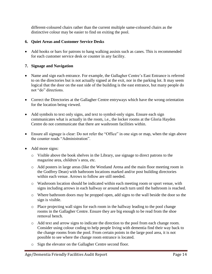different-coloured chairs rather than the current multiple same-coloured chairs as the distinctive colour may be easier to find on exiting the pool.

#### <span id="page-13-0"></span>**6. Quiet Areas and Customer Service Desks**

• Add hooks or bars for patrons to hang walking assists such as canes. This is recommended for each customer service desk or counter in any facility.

#### <span id="page-13-1"></span>**7. Signage and Navigation**

- Name and sign each entrance. For example, the Gallagher Centre's East Entrance is referred to on the directories but is not actually signed at the exit, nor in the parking lot. It may seem logical that the door on the east side of the building is the east entrance, but many people do not "do" directions.
- Correct the Directories at the Gallagher Centre entryways which have the wrong orientation for the location being viewed.
- Add symbols to text only signs, and text to symbol-only signs. Ensure each sign communicates what is actually in the room, i.e., the locker rooms at the Gloria Hayden Centre do not communicate that there are washroom facilities within.
- Ensure all signage is clear: Do not refer the "Office" in one sign or map, when the sign above the counter reads "Administration".
- Add more signs:
	- o Visible above the book shelves in the Library, use signage to direct patrons to the magazine area, children's area, etc.
	- o Add posters in large areas (like the Westland Arena and the main floor meeting room in the Godfrey Dean) with bathroom locations marked and/or post building directories within each venue. Arrows to follow are still needed.
	- o Washroom location should be indicated within each meeting room or sport venue, with signs including arrows in each hallway or around each turn until the bathroom is reached.
	- o Where bathroom doors may be propped open, add signs to the wall beside the door so the sign is visible.
	- o Place projecting wall signs for each room in the hallway leading to the pool change rooms in the Gallagher Centre. Ensure they are big enough to be read from the shoe removal bench.
	- o Add text and arrow signs to indicate the direction to the pool from each change room. Consider using colour coding to help people living with dementia find their way back to the change rooms from the pool. From certain points in the large pool area, it is not possible to see where the change room entrance is located.
	- o Sign the elevator on the Gallagher Centre second floor.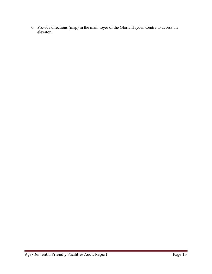o Provide directions (map) in the main foyer of the Gloria Hayden Centre to access the elevator.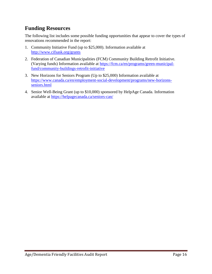## <span id="page-15-0"></span>**Funding Resources**

The following list includes some possible funding opportunities that appear to cover the types of renovations recommended in the report:

- 1. Community Initiative Fund (up to \$25,000). Information available at <http://www.cifsask.org/grants>
- 2. Federation of Canadian Municipalities (FCM) Community Building Retrofit Initiative. (Varying funds) Information available at [https://fcm.ca/en/programs/green-municipal](https://fcm.ca/en/programs/green-municipal-fund/community-buildings-retrofit-initiative)[fund/community-buildings-retrofit-initiative](https://fcm.ca/en/programs/green-municipal-fund/community-buildings-retrofit-initiative)
- 3. New Horizons for Seniors Program (Up to \$25,000) Information available at [https://www.canada.ca/en/employment-social-development/programs/new-horizons](https://www.canada.ca/en/employment-social-development/programs/new-horizons-seniors.html)[seniors.html](https://www.canada.ca/en/employment-social-development/programs/new-horizons-seniors.html)
- 4. Senior Well-Being Grant (up to \$10,000) sponsored by HelpAge Canada. Information available at<https://helpagecanada.ca/seniors-can/>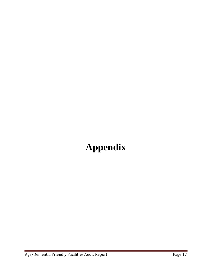## <span id="page-16-0"></span>**Appendix**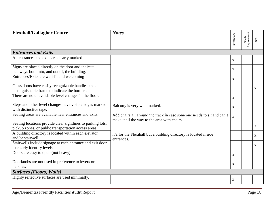<span id="page-17-0"></span>

| <b>Flexihall/Gallagher Centre</b>                                         | <b>Notes</b>                                                                                                           |              |                      |                         |
|---------------------------------------------------------------------------|------------------------------------------------------------------------------------------------------------------------|--------------|----------------------|-------------------------|
|                                                                           |                                                                                                                        | Satisfactory | Needs<br>Improvement | $\mathbf{N}/\mathbf{A}$ |
|                                                                           |                                                                                                                        |              |                      |                         |
| <b>Entrances and Exits</b>                                                |                                                                                                                        |              |                      |                         |
| All entrances and exits are clearly marked                                |                                                                                                                        | $\mathbf{X}$ |                      |                         |
| Signs are placed directly on the door and indicate                        |                                                                                                                        | $\mathbf{x}$ |                      |                         |
| pathways both into, and out of, the building.                             |                                                                                                                        |              |                      |                         |
| Entrances/Exits are well-lit and welcoming                                |                                                                                                                        | $\mathbf{X}$ |                      |                         |
| Glass doors have easily recognizable handles and a                        |                                                                                                                        |              |                      | X                       |
| distinguishable frame to indicate the borders.                            |                                                                                                                        |              |                      |                         |
| There are no unavoidable level changes in the floor.                      |                                                                                                                        | $\mathbf{X}$ |                      |                         |
| Steps and other level changes have visible edges marked                   | Balcony is very well marked.                                                                                           | $\mathbf{X}$ |                      |                         |
| with distinctive tape.                                                    |                                                                                                                        |              |                      |                         |
| Seating areas are available near entrances and exits.                     | Add chairs all around the track in case someone needs to sit and can't<br>make it all the way to the area with chairs. | $\mathbf{x}$ |                      |                         |
| Seating locations provide clear sightlines to parking lots,               |                                                                                                                        |              |                      | X                       |
| pickup zones, or public transportation access areas.                      |                                                                                                                        |              |                      |                         |
| A building directory is located within each elevator<br>and/or stairwell. | n/a for the Flexihall but a building directory is located inside<br>entrances.                                         |              |                      | X                       |
| Stairwells include signage at each entrance and exit door                 |                                                                                                                        |              |                      | X                       |
| to clearly identify levels.                                               |                                                                                                                        |              |                      |                         |
| Doors are easy to open (not heavy).                                       |                                                                                                                        | $\mathbf{X}$ |                      |                         |
| Doorknobs are not used in preference to levers or                         |                                                                                                                        | $\mathbf X$  |                      |                         |
| handles.                                                                  |                                                                                                                        |              |                      |                         |
| <b>Surfaces (Floors, Walls)</b>                                           |                                                                                                                        |              |                      |                         |
| Highly reflective surfaces are used minimally.                            |                                                                                                                        | $\mathbf{X}$ |                      |                         |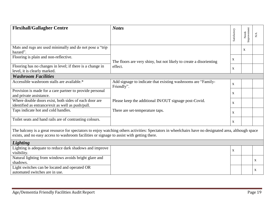| <b>Flexihall/Gallagher Centre</b>                                                                          | <b>Notes</b>                                                                                                                                          | Satisfactory | Needs<br>Improvement | N/A         |
|------------------------------------------------------------------------------------------------------------|-------------------------------------------------------------------------------------------------------------------------------------------------------|--------------|----------------------|-------------|
| Mats and rugs are used minimally and do not pose a "trip<br>hazard".                                       |                                                                                                                                                       |              | X                    |             |
| Flooring is plain and non-reflective.                                                                      | The floors are very shiny, but not likely to create a disorienting                                                                                    | $\mathbf{X}$ |                      |             |
| Flooring has no changes in level; if there is a change in<br>level, it is clearly marked.                  | effect.                                                                                                                                               | X            |                      |             |
| <b>Washroom Facilities</b>                                                                                 |                                                                                                                                                       |              |                      |             |
| Accessible washroom stalls are available.*                                                                 | Add signage to indicate that existing washrooms are "Family-<br>Friendly".                                                                            | $\mathbf{X}$ |                      |             |
| Provision is made for a care partner to provide personal<br>and private assistance.                        | Please keep the additional IN/OUT signage post-Covid.                                                                                                 | X            |                      |             |
| Where double doors exist, both sides of each door are<br>identified as entrance/exit as well as push/pull. |                                                                                                                                                       | $\mathbf{X}$ |                      |             |
| Taps indicate hot and cold handles.                                                                        | There are set-temperature taps.                                                                                                                       | $\mathbf{X}$ |                      |             |
| Toilet seats and hand rails are of contrasting colours.                                                    |                                                                                                                                                       | X            |                      |             |
| exists, and no easy access to washroom facilities or signage to assist with getting there.                 | The balcony is a great resource for spectators to enjoy watching others activities: Spectators in wheelchairs have no designated area, although space |              |                      |             |
| <b>Lighting</b>                                                                                            |                                                                                                                                                       |              |                      |             |
| Lighting is adequate to reduce dark shadows and improve<br>visibility.                                     |                                                                                                                                                       | X            |                      |             |
| Natural lighting from windows avoids bright glare and<br>shadows.                                          |                                                                                                                                                       |              |                      | $\mathbf X$ |
| Light switches can be located and operated OR<br>automated switches are in use.                            |                                                                                                                                                       |              |                      | X           |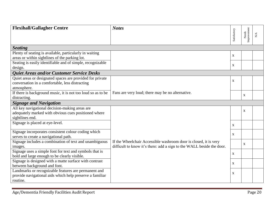| <b>Flexihall/Gallagher Centre</b>                                                                                           | <b>Notes</b>                                                          |              |                      |     |
|-----------------------------------------------------------------------------------------------------------------------------|-----------------------------------------------------------------------|--------------|----------------------|-----|
|                                                                                                                             |                                                                       | Satisfactory | Needs<br>Improvement | N/A |
|                                                                                                                             |                                                                       |              |                      |     |
| <b>Seating</b>                                                                                                              |                                                                       |              |                      |     |
| Plenty of seating is available, particularly in waiting<br>areas or within sightlines of the parking lot.                   |                                                                       | $\mathbf{X}$ |                      |     |
| Seating is easily identifiable and of simple, recognizable<br>design.                                                       |                                                                       | $\mathbf{X}$ |                      |     |
| Quiet Areas and/or Customer Service Desks                                                                                   |                                                                       |              |                      |     |
| Quiet areas or designated spaces are provided for private<br>conversation in a comfortable, less distracting<br>atmosphere. |                                                                       | $\mathbf X$  |                      |     |
| If there is background music, it is not too loud so as to be<br>distracting.                                                | Fans are very loud; there may be no alternative.                      |              | X                    |     |
| <b>Signage and Navigation</b>                                                                                               |                                                                       |              |                      |     |
| All key navigational decision-making areas are                                                                              |                                                                       |              | X                    |     |
| adequately marked with obvious cues positioned where                                                                        |                                                                       |              |                      |     |
| sightlines end.                                                                                                             |                                                                       |              |                      |     |
| Signage is placed at eye-level.                                                                                             |                                                                       | $\mathbf{X}$ |                      |     |
| Signage incorporates consistent colour coding which                                                                         |                                                                       | $\mathbf X$  |                      |     |
| serves to create a navigational path.                                                                                       |                                                                       |              |                      |     |
| Signage includes a combination of text and unambiguous                                                                      | If the Wheelchair Accessible washroom door is closed, it is very      |              | X                    |     |
| images.                                                                                                                     | difficult to know it's there: add a sign to the WALL beside the door. |              |                      |     |
| Signage uses a simple font for text and symbols that is                                                                     |                                                                       | $\mathbf{X}$ |                      |     |
| bold and large enough to be clearly visible.                                                                                |                                                                       |              |                      |     |
| Signage is designed with a matte surface with contrast                                                                      |                                                                       | $\mathbf X$  |                      |     |
| between background and font.                                                                                                |                                                                       |              |                      |     |
| Landmarks or recognizable features are permanent and                                                                        |                                                                       | X            |                      |     |
| provide navigational aids which help preserve a familiar                                                                    |                                                                       |              |                      |     |
| routine.                                                                                                                    |                                                                       |              |                      |     |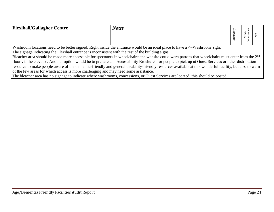| <b>Flexihall/Gallagher Centre</b>                                                                  | <b>Notes</b>                                                                                                                                                    |              |               |  |
|----------------------------------------------------------------------------------------------------|-----------------------------------------------------------------------------------------------------------------------------------------------------------------|--------------|---------------|--|
|                                                                                                    |                                                                                                                                                                 | Satisfactory | Needs<br>mpro |  |
|                                                                                                    | Washroom locations need to be better signed; Right inside the entrance would be an ideal place to have $a \leq W$ ashroom sign.                                 |              |               |  |
| The signage indicating the Flexihall entrance is inconsistent with the rest of the building signs. |                                                                                                                                                                 |              |               |  |
|                                                                                                    | Bleacher area should be made more accessible for spectators in wheelchairs: the website could warn patrons that wheelchairs must enter from the 2 <sup>nd</sup> |              |               |  |
|                                                                                                    | floor via the elevator. Another option would be to prepare an "Accessibility Brochure" for people to pick up at Guest Services or other distribution            |              |               |  |
|                                                                                                    | resource to make people aware of the dementia-friendly and general disability-friendly resources available at this wonderful facility, but also to warn         |              |               |  |
| of the few areas for which access is more challenging and may need some assistance.                |                                                                                                                                                                 |              |               |  |
|                                                                                                    | The bleacher area has no signage to indicate where washrooms, concessions, or Guest Services are located; this should be posted.                                |              |               |  |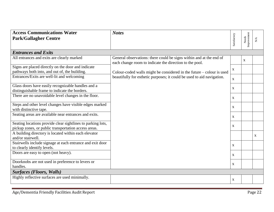<span id="page-21-0"></span>

| <b>Access Communications Water</b>                                                       | <b>Notes</b>                                                                                                                   |                           |                      |             |
|------------------------------------------------------------------------------------------|--------------------------------------------------------------------------------------------------------------------------------|---------------------------|----------------------|-------------|
| <b>Park/Gallagher Centre</b>                                                             |                                                                                                                                | Satisfactory              |                      | ${\rm N/A}$ |
|                                                                                          |                                                                                                                                |                           | Needs<br>Improvement |             |
| <b>Entrances and Exits</b>                                                               |                                                                                                                                |                           |                      |             |
| All entrances and exits are clearly marked                                               | General observations: there could be signs within and at the end of<br>each change room to indicate the direction to the pool. |                           | $\mathbf{X}$         |             |
| Signs are placed directly on the door and indicate                                       |                                                                                                                                | $\mathbf X$               |                      |             |
| pathways both into, and out of, the building.                                            | Colour-coded walls might be considered in the future – colour is used                                                          |                           |                      |             |
| Entrances/Exits are well-lit and welcoming                                               | beautifully for esthetic purposes; it could be used to aid navigation.                                                         | $\mathbf{X}$              |                      |             |
| Glass doors have easily recognizable handles and a                                       |                                                                                                                                | $\mathbf{X}$              |                      |             |
| distinguishable frame to indicate the borders.                                           |                                                                                                                                |                           |                      |             |
| There are no unavoidable level changes in the floor.                                     | $\mathbf{X}$                                                                                                                   | $\mathbf X$               |                      |             |
| Steps and other level changes have visible edges marked                                  |                                                                                                                                |                           |                      |             |
| with distinctive tape.                                                                   |                                                                                                                                |                           |                      |             |
| Seating areas are available near entrances and exits.                                    |                                                                                                                                | $\mathbf{X}$              |                      |             |
| Seating locations provide clear sightlines to parking lots,                              |                                                                                                                                | $\mathbf X$               |                      |             |
| pickup zones, or public transportation access areas.                                     |                                                                                                                                |                           |                      |             |
| A building directory is located within each elevator<br>and/or stairwell.                |                                                                                                                                |                           |                      | X           |
| Stairwells include signage at each entrance and exit door<br>to clearly identify levels. |                                                                                                                                | $\mathbf{X}$              |                      |             |
| Doors are easy to open (not heavy).                                                      |                                                                                                                                |                           |                      |             |
|                                                                                          |                                                                                                                                | $\mathbf{X}$              |                      |             |
| Doorknobs are not used in preference to levers or<br>handles.                            |                                                                                                                                | $\boldsymbol{\mathrm{X}}$ |                      |             |
|                                                                                          |                                                                                                                                |                           |                      |             |
| <b>Surfaces (Floors, Walls)</b>                                                          |                                                                                                                                |                           |                      |             |
| Highly reflective surfaces are used minimally.                                           |                                                                                                                                | $\boldsymbol{\mathrm{X}}$ |                      |             |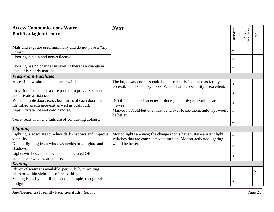| <b>Access Communications Water</b><br><b>Park/Gallagher Centre</b>                                         | <b>Notes</b>                                                                                                                               | Satisfactory | Needs<br>Improvement | $\geq$      |
|------------------------------------------------------------------------------------------------------------|--------------------------------------------------------------------------------------------------------------------------------------------|--------------|----------------------|-------------|
|                                                                                                            |                                                                                                                                            |              |                      |             |
| Mats and rugs are used minimally and do not pose a "trip<br>hazard".                                       |                                                                                                                                            | $\mathbf{X}$ |                      |             |
| Flooring is plain and non-reflective.                                                                      |                                                                                                                                            | $\mathbf{X}$ |                      |             |
| Flooring has no changes in level; if there is a change in<br>level, it is clearly marked.                  |                                                                                                                                            | $\mathbf{X}$ |                      |             |
| <b>Washroom Facilities</b>                                                                                 |                                                                                                                                            |              |                      |             |
| Accessible washroom stalls are available.                                                                  | The large washrooms should be more clearly indicated as family<br>accessible – text and symbols. Wheelchair accessibility is excellent.    | $\mathbf X$  |                      |             |
| Provision is made for a care partner to provide personal<br>and private assistance.                        |                                                                                                                                            | $\mathbf{X}$ |                      |             |
| Where double doors exist, both sides of each door are<br>identified as entrance/exit as well as push/pull. | IN/OUT is marked on exterior doors; text only; no symbols are<br>present.                                                                  | $\mathbf X$  |                      |             |
| Taps indicate hot and cold handles.                                                                        | Marked hot/cold but one must bend over to see them; auto taps would<br>be better.                                                          | $\mathbf{X}$ |                      |             |
| Toilet seats and hand rails are of contrasting colours.                                                    |                                                                                                                                            | $\mathbf{X}$ |                      |             |
| <b>Lighting</b>                                                                                            |                                                                                                                                            |              |                      |             |
| Lighting is adequate to reduce dark shadows and improve<br>visibility.                                     | Motion lights are nice; the change rooms have water-resistant light<br>switches that are complicated to turn on. Motion-activated lighting | $\mathbf X$  |                      |             |
| Natural lighting from windows avoids bright glare and<br>shadows.                                          | would be better.                                                                                                                           | $\mathbf{X}$ |                      |             |
| Light switches can be located and operated OR<br>automated switches are in use.                            |                                                                                                                                            | $\mathbf{X}$ |                      |             |
| <b>Seating</b>                                                                                             |                                                                                                                                            |              |                      |             |
| Plenty of seating is available, particularly in waiting<br>areas or within sightlines of the parking lot.  |                                                                                                                                            |              |                      | $\mathbf X$ |
| Seating is easily identifiable and of simple, recognizable<br>design.                                      |                                                                                                                                            | $\mathbf X$  |                      |             |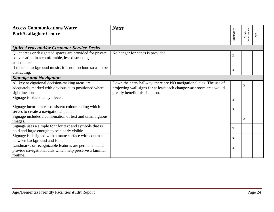| <b>Access Communications Water</b>                           | <b>Notes</b>                                                       |              |                      |             |
|--------------------------------------------------------------|--------------------------------------------------------------------|--------------|----------------------|-------------|
| <b>Park/Gallagher Centre</b>                                 |                                                                    | Satisfactory | Improvement<br>Needs | ${\rm N/A}$ |
|                                                              |                                                                    |              |                      |             |
| <b>Quiet Areas and/or Customer Service Desks</b>             |                                                                    |              |                      |             |
| Quiet areas or designated spaces are provided for private    | No hanger for canes is provided.                                   |              |                      |             |
| conversation in a comfortable, less distracting              |                                                                    | $\mathbf X$  |                      |             |
| atmosphere.                                                  |                                                                    |              |                      |             |
| If there is background music, it is not too loud so as to be |                                                                    | X            |                      |             |
| distracting.                                                 |                                                                    |              |                      |             |
| <b>Signage and Navigation</b>                                |                                                                    |              |                      |             |
| All key navigational decision-making areas are               | Down the entry hallway, there are NO navigational aids. The use of |              | $\mathbf{X}$         |             |
| adequately marked with obvious cues positioned where         | projecting wall signs for at least each change/washroom area would |              |                      |             |
| sightlines end.                                              | greatly benefit this situation.                                    |              |                      |             |
| Signage is placed at eye-level.                              |                                                                    | $\mathbf{X}$ |                      |             |
| Signage incorporates consistent colour coding which          |                                                                    |              |                      |             |
| serves to create a navigational path.                        |                                                                    | X            |                      |             |
| Signage includes a combination of text and unambiguous       |                                                                    |              | $\mathbf{x}$         |             |
| images.                                                      |                                                                    |              |                      |             |
| Signage uses a simple font for text and symbols that is      |                                                                    | X            |                      |             |
| bold and large enough to be clearly visible.                 |                                                                    |              |                      |             |
| Signage is designed with a matte surface with contrast       |                                                                    | X            |                      |             |
| between background and font.                                 |                                                                    |              |                      |             |
| Landmarks or recognizable features are permanent and         |                                                                    | X            |                      |             |
| provide navigational aids which help preserve a familiar     |                                                                    |              |                      |             |
| routine.                                                     |                                                                    |              |                      |             |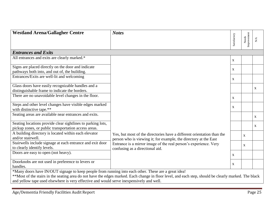<span id="page-24-0"></span>

| <b>Westland Arena/Gallagher Centre</b>                                                               | <b>Notes</b>                                                                                                                                          |              |                      |                        |  |
|------------------------------------------------------------------------------------------------------|-------------------------------------------------------------------------------------------------------------------------------------------------------|--------------|----------------------|------------------------|--|
|                                                                                                      |                                                                                                                                                       | Satisfactory | Needs<br>Improvement | $\mathbb{N}\mathbb{A}$ |  |
|                                                                                                      |                                                                                                                                                       |              |                      |                        |  |
| <b>Entrances and Exits</b>                                                                           |                                                                                                                                                       |              |                      |                        |  |
| All entrances and exits are clearly marked.*                                                         |                                                                                                                                                       | $\mathbf{X}$ |                      |                        |  |
| Signs are placed directly on the door and indicate                                                   |                                                                                                                                                       | $\mathbf{X}$ |                      |                        |  |
| pathways both into, and out of, the building.                                                        |                                                                                                                                                       |              |                      |                        |  |
| Entrances/Exits are well-lit and welcoming                                                           |                                                                                                                                                       | X            |                      |                        |  |
| Glass doors have easily recognizable handles and a                                                   |                                                                                                                                                       |              |                      | $\mathbf{X}$           |  |
| distinguishable frame to indicate the borders.                                                       |                                                                                                                                                       |              |                      |                        |  |
| There are no unavoidable level changes in the floor.                                                 |                                                                                                                                                       | $\mathbf{X}$ |                      |                        |  |
| Steps and other level changes have visible edges marked                                              |                                                                                                                                                       | $\mathbf{X}$ |                      |                        |  |
| with distinctive tape.**                                                                             |                                                                                                                                                       |              |                      |                        |  |
| Seating areas are available near entrances and exits.                                                |                                                                                                                                                       |              |                      | $\mathbf{X}$           |  |
| Seating locations provide clear sightlines to parking lots,                                          |                                                                                                                                                       |              |                      | $\mathbf{X}$           |  |
| pickup zones, or public transportation access areas.                                                 |                                                                                                                                                       |              |                      |                        |  |
| A building directory is located within each elevator                                                 | Yes, but most of the directories have a different orientation than the                                                                                |              | $\mathbf{X}$         |                        |  |
| and/or stairwell.                                                                                    | person who is viewing it; for example, the directory at the East                                                                                      |              |                      |                        |  |
| Stairwells include signage at each entrance and exit door                                            | Entrance is a mirror image of the real person's experience. Very                                                                                      |              | $\mathbf{X}$         |                        |  |
| to clearly identify levels.                                                                          | confusing as a directional aid.                                                                                                                       |              |                      |                        |  |
| Doors are easy to open (not heavy).                                                                  |                                                                                                                                                       | X            |                      |                        |  |
| Doorknobs are not used in preference to levers or                                                    |                                                                                                                                                       | $\mathbf{X}$ |                      |                        |  |
| handles.                                                                                             |                                                                                                                                                       |              |                      |                        |  |
| *Many doors have IN/OUT signage to keep people from running into each other. These are a great idea! |                                                                                                                                                       |              |                      |                        |  |
|                                                                                                      | **Most of the stairs in the seating area do not have the edges marked. Each change in floor level, and each step, should be clearly marked. The black |              |                      |                        |  |
| and yellow tape used elsewhere is very effective and would serve inexpensively and well.             |                                                                                                                                                       |              |                      |                        |  |

e e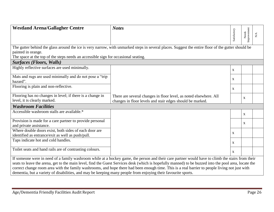| <b>Westland Arena/Gallagher Centre</b>                                                                        | <b>Notes</b>                                                                                                                                          |              |                      |             |
|---------------------------------------------------------------------------------------------------------------|-------------------------------------------------------------------------------------------------------------------------------------------------------|--------------|----------------------|-------------|
|                                                                                                               |                                                                                                                                                       | Satisfactory | Needs<br>Improvement | ${\rm N/A}$ |
|                                                                                                               |                                                                                                                                                       |              |                      |             |
|                                                                                                               | The gutter behind the glass around the ice is very narrow, with unmarked steps in several places. Suggest the entire floor of the gutter should be    |              |                      |             |
| painted in orange.                                                                                            |                                                                                                                                                       |              |                      |             |
| The space at the top of the steps needs an accessible sign for occasional seating.                            |                                                                                                                                                       |              |                      |             |
| <b>Surfaces (Floors, Walls)</b>                                                                               |                                                                                                                                                       |              |                      |             |
| Highly reflective surfaces are used minimally.                                                                |                                                                                                                                                       | $\mathbf{X}$ |                      |             |
| Mats and rugs are used minimally and do not pose a "trip<br>hazard".                                          |                                                                                                                                                       | $\mathbf{X}$ |                      |             |
| Flooring is plain and non-reflective.                                                                         |                                                                                                                                                       |              |                      |             |
|                                                                                                               |                                                                                                                                                       | $\mathbf{X}$ |                      |             |
| Flooring has no changes in level; if there is a change in                                                     | There are several changes in floor level, as noted elsewhere. All                                                                                     |              | $\mathbf{X}$         |             |
| level, it is clearly marked.                                                                                  | changes in floor levels and stair edges should be marked.                                                                                             |              |                      |             |
| <b>Washroom Facilities</b>                                                                                    |                                                                                                                                                       |              |                      |             |
| Accessible washroom stalls are available.*                                                                    |                                                                                                                                                       |              | $\mathbf{X}$         |             |
| Provision is made for a care partner to provide personal                                                      |                                                                                                                                                       |              | $\mathbf{X}$         |             |
| and private assistance.                                                                                       |                                                                                                                                                       |              |                      |             |
| Where double doors exist, both sides of each door are                                                         |                                                                                                                                                       | $\mathbf{X}$ |                      |             |
| identified as entrance/exit as well as push/pull.                                                             |                                                                                                                                                       |              |                      |             |
| Taps indicate hot and cold handles.                                                                           |                                                                                                                                                       | $\mathbf{X}$ |                      |             |
| Toilet seats and hand rails are of contrasting colours.                                                       |                                                                                                                                                       | $\mathbf{X}$ |                      |             |
|                                                                                                               | If someone were in need of a family washroom while at a hockey game, the person and their care partner would have to climb the stairs from their      |              |                      |             |
|                                                                                                               | seats to leave the arena, get to the main level, find the Guest Services desk (which is hopefully manned) to be buzzed into the pool area, locate the |              |                      |             |
|                                                                                                               | correct change room area with the family washrooms, and hope there had been enough time. This is a real barrier to people living not just with        |              |                      |             |
| dementia, but a variety of disabilities, and may be keeping many people from enjoying their favourite sports. |                                                                                                                                                       |              |                      |             |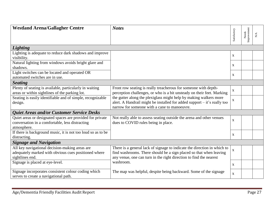| <b>Westland Arena/Gallagher Centre</b>                                                                 | <b>Notes</b>                                                                                                                                   |              |                      |             |
|--------------------------------------------------------------------------------------------------------|------------------------------------------------------------------------------------------------------------------------------------------------|--------------|----------------------|-------------|
|                                                                                                        |                                                                                                                                                | Satisfactory | Needs<br>Improvement | ${\rm N/A}$ |
|                                                                                                        |                                                                                                                                                |              |                      |             |
| <b>Lighting</b>                                                                                        |                                                                                                                                                |              |                      |             |
| Lighting is adequate to reduce dark shadows and improve<br>visibility.                                 |                                                                                                                                                | $\mathbf X$  |                      |             |
| Natural lighting from windows avoids bright glare and                                                  |                                                                                                                                                |              |                      |             |
| shadows.                                                                                               |                                                                                                                                                | $\mathbf{x}$ |                      |             |
| Light switches can be located and operated OR                                                          |                                                                                                                                                |              |                      |             |
| automated switches are in use.                                                                         |                                                                                                                                                | $\mathbf X$  |                      |             |
| <b>Seating</b>                                                                                         |                                                                                                                                                |              |                      |             |
| Plenty of seating is available, particularly in waiting                                                | Front row seating is really treacherous for someone with depth-                                                                                | $\mathbf{X}$ |                      |             |
| areas or within sightlines of the parking lot.                                                         | perception challenges, or who is a bit unsteady on their feet. Marking                                                                         |              |                      |             |
| Seating is easily identifiable and of simple, recognizable                                             | the gutter along the plexiglass might help by making walkers more                                                                              | X            |                      |             |
| design.                                                                                                | alert. A Handrail might be installed for added support – it's really too                                                                       |              |                      |             |
|                                                                                                        | narrow for someone with a cane to manoeuvre.                                                                                                   |              |                      |             |
| Quiet Areas and/or Customer Service Desks                                                              |                                                                                                                                                |              |                      |             |
| Quiet areas or designated spaces are provided for private                                              | Not really able to assess seating outside the arena and other venues                                                                           | $\mathbf{X}$ |                      |             |
| conversation in a comfortable, less distracting                                                        | dues to COVID rules being in place.                                                                                                            |              |                      |             |
| atmosphere.                                                                                            |                                                                                                                                                |              |                      |             |
| If there is background music, it is not too loud so as to be<br>distracting.                           |                                                                                                                                                | $\mathbf X$  |                      |             |
| <b>Signage and Navigation</b>                                                                          |                                                                                                                                                |              |                      |             |
|                                                                                                        |                                                                                                                                                |              |                      |             |
| All key navigational decision-making areas are<br>adequately marked with obvious cues positioned where | There is a general lack of signage to indicate the direction in which to<br>find washrooms. There should be a sign placed so that when leaving | $\mathbf{X}$ |                      |             |
| sightlines end.                                                                                        | any venue, one can turn in the right direction to find the nearest                                                                             |              |                      |             |
| Signage is placed at eye-level.                                                                        | washroom.                                                                                                                                      |              |                      |             |
|                                                                                                        |                                                                                                                                                | $\mathbf{X}$ |                      |             |
| Signage incorporates consistent colour coding which                                                    | The map was helpful, despite being backward. Some of the signage                                                                               | $\mathbf{X}$ |                      |             |
| serves to create a navigational path.                                                                  |                                                                                                                                                |              |                      |             |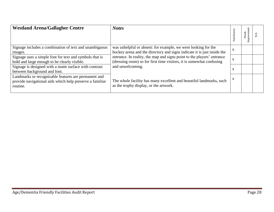| <b>Westland Arena/Gallagher Centre</b>                   | <b>Notes</b>                                                            | Satisfactory | mprovement<br>Needs |  |
|----------------------------------------------------------|-------------------------------------------------------------------------|--------------|---------------------|--|
|                                                          |                                                                         |              |                     |  |
| Signage includes a combination of text and unambiguous   | was unhelpful or absent: for example, we were looking for the           | $\mathbf{X}$ |                     |  |
| images.                                                  | hockey arena and the directory and signs indicate it is just inside the |              |                     |  |
| Signage uses a simple font for text and symbols that is  | entrance. In reality, the map and signs point to the players' entrance  | $\mathbf X$  |                     |  |
| bold and large enough to be clearly visible.             | (dressing room) so for first time visitors, it is somewhat confusing    |              |                     |  |
| Signage is designed with a matte surface with contrast   | and unwelcoming.                                                        |              |                     |  |
| between background and font.                             |                                                                         | X            |                     |  |
| Landmarks or recognizable features are permanent and     |                                                                         | X            |                     |  |
| provide navigational aids which help preserve a familiar | The whole facility has many excellent and beautiful landmarks, such     |              |                     |  |
| routine.                                                 | as the trophy display, or the artwork.                                  |              |                     |  |
|                                                          |                                                                         |              |                     |  |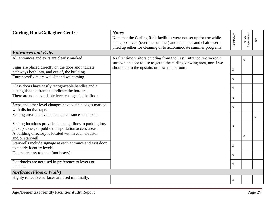<span id="page-28-0"></span>

| <b>Curling Rink/Gallagher Centre</b>                                                                                | <b>Notes</b><br>Note that the Curling Rink facilities were not set up for use while<br>being observed (over the summer) and the tables and chairs were<br>piled up either for cleaning or to accommodate summer programs. | Satisfactory | Needs<br>Improvement | N/A |
|---------------------------------------------------------------------------------------------------------------------|---------------------------------------------------------------------------------------------------------------------------------------------------------------------------------------------------------------------------|--------------|----------------------|-----|
| <b>Entrances and Exits</b>                                                                                          |                                                                                                                                                                                                                           |              |                      |     |
| All entrances and exits are clearly marked                                                                          | As first time visitors entering from the East Entrance, we weren't<br>sure which door to use to get to the curling viewing area, nor if we                                                                                |              | $\mathbf X$          |     |
| Signs are placed directly on the door and indicate<br>pathways both into, and out of, the building.                 | should go to the upstairs or downstairs room.                                                                                                                                                                             | $\mathbf{X}$ |                      |     |
| Entrances/Exits are well-lit and welcoming                                                                          |                                                                                                                                                                                                                           | $\mathbf{X}$ |                      |     |
| Glass doors have easily recognizable handles and a<br>distinguishable frame to indicate the borders.                |                                                                                                                                                                                                                           | $\mathbf{X}$ |                      |     |
| There are no unavoidable level changes in the floor.                                                                |                                                                                                                                                                                                                           | $\mathbf{X}$ |                      |     |
| Steps and other level changes have visible edges marked<br>with distinctive tape.                                   |                                                                                                                                                                                                                           | $\mathbf X$  |                      |     |
| Seating areas are available near entrances and exits.                                                               |                                                                                                                                                                                                                           |              |                      | X   |
| Seating locations provide clear sightlines to parking lots,<br>pickup zones, or public transportation access areas. |                                                                                                                                                                                                                           | $\mathbf X$  |                      |     |
| A building directory is located within each elevator<br>and/or stairwell.                                           |                                                                                                                                                                                                                           |              | $\mathbf{X}$         |     |
| Stairwells include signage at each entrance and exit door<br>to clearly identify levels.                            |                                                                                                                                                                                                                           | $\mathbf{X}$ |                      |     |
| Doors are easy to open (not heavy).                                                                                 |                                                                                                                                                                                                                           | $\mathbf{X}$ |                      |     |
| Doorknobs are not used in preference to levers or<br>handles.                                                       |                                                                                                                                                                                                                           | $\mathbf X$  |                      |     |
| <b>Surfaces (Floors, Walls)</b>                                                                                     |                                                                                                                                                                                                                           |              |                      |     |
| Highly reflective surfaces are used minimally.                                                                      |                                                                                                                                                                                                                           | $\mathbf X$  |                      |     |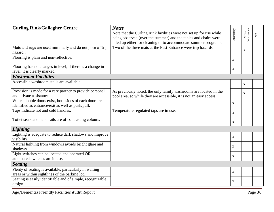| <b>Curling Rink/Gallagher Centre</b>                                                                       | <b>Notes</b><br>Note that the Curling Rink facilities were not set up for use while<br>being observed (over the summer) and the tables and chairs were<br>piled up either for cleaning or to accommodate summer programs. | Satisfactory | Needs<br>Improvement | $\sum_{i=1}^{n}$ |
|------------------------------------------------------------------------------------------------------------|---------------------------------------------------------------------------------------------------------------------------------------------------------------------------------------------------------------------------|--------------|----------------------|------------------|
| Mats and rugs are used minimally and do not pose a "trip<br>hazard".                                       | Two of the three mats at the East Entrance were trip hazards.                                                                                                                                                             |              | X                    |                  |
| Flooring is plain and non-reflective.                                                                      |                                                                                                                                                                                                                           | $\mathbf{X}$ |                      |                  |
| Flooring has no changes in level; if there is a change in<br>level, it is clearly marked.                  |                                                                                                                                                                                                                           | $\mathbf X$  |                      |                  |
| <b>Washroom Facilities</b>                                                                                 |                                                                                                                                                                                                                           |              |                      |                  |
| Accessible washroom stalls are available.                                                                  |                                                                                                                                                                                                                           |              | X                    |                  |
| Provision is made for a care partner to provide personal<br>and private assistance.                        | As previously noted, the only family washrooms are located in the<br>pool area, so while they are accessible, it is not an easy access.                                                                                   |              | X                    |                  |
| Where double doors exist, both sides of each door are<br>identified as entrance/exit as well as push/pull. |                                                                                                                                                                                                                           | $\mathbf{X}$ |                      |                  |
| Taps indicate hot and cold handles.                                                                        | Temperature regulated taps are in use.                                                                                                                                                                                    | $\mathbf{X}$ |                      |                  |
| Toilet seats and hand rails are of contrasting colours.                                                    |                                                                                                                                                                                                                           | $\mathbf{X}$ |                      |                  |
| <b>Lighting</b>                                                                                            |                                                                                                                                                                                                                           |              |                      |                  |
| Lighting is adequate to reduce dark shadows and improve<br>visibility.                                     |                                                                                                                                                                                                                           | $\mathbf{X}$ |                      |                  |
| Natural lighting from windows avoids bright glare and<br>shadows.                                          |                                                                                                                                                                                                                           | $\mathbf{X}$ |                      |                  |
| Light switches can be located and operated OR<br>automated switches are in use.                            |                                                                                                                                                                                                                           | $\mathbf X$  |                      |                  |
| <b>Seating</b>                                                                                             |                                                                                                                                                                                                                           |              |                      |                  |
| Plenty of seating is available, particularly in waiting<br>areas or within sightlines of the parking lot.  |                                                                                                                                                                                                                           | $\mathbf X$  |                      |                  |
| Seating is easily identifiable and of simple, recognizable<br>design.                                      |                                                                                                                                                                                                                           | $\mathbf{X}$ |                      |                  |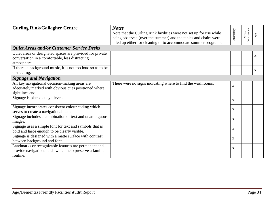| <b>Curling Rink/Gallagher Centre</b>                         | <b>Notes</b>                                                        |                           |             |             |
|--------------------------------------------------------------|---------------------------------------------------------------------|---------------------------|-------------|-------------|
|                                                              | Note that the Curling Rink facilities were not set up for use while | Satisfactory              | Improvement |             |
|                                                              | being observed (over the summer) and the tables and chairs were     |                           | Needs       | $N\!A$      |
|                                                              | piled up either for cleaning or to accommodate summer programs.     |                           |             |             |
| Quiet Areas and/or Customer Service Desks                    |                                                                     |                           |             |             |
| Quiet areas or designated spaces are provided for private    |                                                                     |                           |             | $\mathbf X$ |
| conversation in a comfortable, less distracting              |                                                                     |                           |             |             |
| atmosphere.                                                  |                                                                     |                           |             |             |
| If there is background music, it is not too loud so as to be |                                                                     |                           |             | X           |
| distracting.                                                 |                                                                     |                           |             |             |
| <b>Signage and Navigation</b>                                |                                                                     |                           |             |             |
| All key navigational decision-making areas are               | There were no signs indicating where to find the washrooms.         | $\mathbf{x}$              |             |             |
| adequately marked with obvious cues positioned where         |                                                                     |                           |             |             |
| sightlines end.                                              |                                                                     |                           |             |             |
| Signage is placed at eye-level.                              |                                                                     | X                         |             |             |
|                                                              |                                                                     |                           |             |             |
| Signage incorporates consistent colour coding which          |                                                                     | $\boldsymbol{\mathrm{X}}$ |             |             |
| serves to create a navigational path.                        |                                                                     |                           |             |             |
| Signage includes a combination of text and unambiguous       |                                                                     | X                         |             |             |
| images.                                                      |                                                                     |                           |             |             |
| Signage uses a simple font for text and symbols that is      |                                                                     | X                         |             |             |
| bold and large enough to be clearly visible.                 |                                                                     |                           |             |             |
| Signage is designed with a matte surface with contrast       |                                                                     | X                         |             |             |
| between background and font.                                 |                                                                     |                           |             |             |
| Landmarks or recognizable features are permanent and         |                                                                     | $\boldsymbol{\mathrm{X}}$ |             |             |
| provide navigational aids which help preserve a familiar     |                                                                     |                           |             |             |
| routine.                                                     |                                                                     |                           |             |             |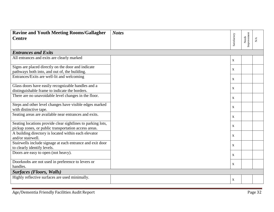<span id="page-31-0"></span>

| <b>Ravine and Youth Meeting Rooms/Gallagher</b><br><b>Centre</b>                                                    | <b>Notes</b> | Satisfactory | Needs<br>Improvement | $\mathop{\mathsf{N}}\nolimits\rtimes$ |
|---------------------------------------------------------------------------------------------------------------------|--------------|--------------|----------------------|---------------------------------------|
| <b>Entrances and Exits</b>                                                                                          |              |              |                      |                                       |
| All entrances and exits are clearly marked                                                                          |              | $\mathbf{X}$ |                      |                                       |
| Signs are placed directly on the door and indicate<br>pathways both into, and out of, the building.                 |              | $\mathbf{X}$ |                      |                                       |
| Entrances/Exits are well-lit and welcoming                                                                          |              | $\mathbf{X}$ |                      |                                       |
| Glass doors have easily recognizable handles and a<br>distinguishable frame to indicate the borders.                |              | $\mathbf{X}$ |                      |                                       |
| There are no unavoidable level changes in the floor.                                                                |              | $\mathbf{X}$ |                      |                                       |
| Steps and other level changes have visible edges marked<br>with distinctive tape.                                   |              | $\mathbf{X}$ |                      |                                       |
| Seating areas are available near entrances and exits.                                                               |              | $\mathbf{X}$ |                      |                                       |
| Seating locations provide clear sightlines to parking lots,<br>pickup zones, or public transportation access areas. |              | $\mathbf{x}$ |                      |                                       |
| A building directory is located within each elevator<br>and/or stairwell.                                           |              | $\mathbf{X}$ |                      |                                       |
| Stairwells include signage at each entrance and exit door<br>to clearly identify levels.                            |              | $\mathbf{X}$ |                      |                                       |
| Doors are easy to open (not heavy).                                                                                 |              | $\mathbf{X}$ |                      |                                       |
| Doorknobs are not used in preference to levers or<br>handles.                                                       |              | $\mathbf{X}$ |                      |                                       |
| <b>Surfaces (Floors, Walls)</b>                                                                                     |              |              |                      |                                       |
| Highly reflective surfaces are used minimally.                                                                      |              | $\mathbf{X}$ |                      |                                       |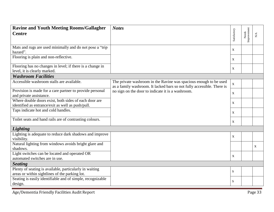| <b>Ravine and Youth Meeting Rooms/Gallagher</b>                        | <b>Notes</b>                                                                                                                                |                           |                      |              |
|------------------------------------------------------------------------|---------------------------------------------------------------------------------------------------------------------------------------------|---------------------------|----------------------|--------------|
| <b>Centre</b>                                                          |                                                                                                                                             | Satisfactory              |                      | N/A          |
|                                                                        |                                                                                                                                             |                           | Needs<br>Improvement |              |
| Mats and rugs are used minimally and do not pose a "trip"              |                                                                                                                                             | $\mathbf X$               |                      |              |
| hazard".                                                               |                                                                                                                                             |                           |                      |              |
| Flooring is plain and non-reflective.                                  |                                                                                                                                             | $\mathbf{X}$              |                      |              |
| Flooring has no changes in level; if there is a change in              |                                                                                                                                             | $\boldsymbol{\mathrm{X}}$ |                      |              |
| level, it is clearly marked.                                           |                                                                                                                                             |                           |                      |              |
| <b>Washroom Facilities</b>                                             |                                                                                                                                             |                           |                      |              |
| Accessible washroom stalls are available.                              | The private washroom in the Ravine was spacious enough to be used<br>as a family washroom. It lacked bars so not fully accessible. There is | $\mathbf{X}$              |                      |              |
| Provision is made for a care partner to provide personal               | no sign on the door to indicate it is a washroom.                                                                                           | $\mathbf{X}$              |                      |              |
| and private assistance.                                                |                                                                                                                                             |                           |                      |              |
| Where double doors exist, both sides of each door are                  |                                                                                                                                             | $\mathbf X$               |                      |              |
| identified as entrance/exit as well as push/pull.                      |                                                                                                                                             |                           |                      |              |
| Taps indicate hot and cold handles.                                    |                                                                                                                                             | $\mathbf{X}$              |                      |              |
| Toilet seats and hand rails are of contrasting colours.                |                                                                                                                                             | $\mathbf{X}$              |                      |              |
| <b>Lighting</b>                                                        |                                                                                                                                             |                           |                      |              |
| Lighting is adequate to reduce dark shadows and improve<br>visibility. |                                                                                                                                             | $\boldsymbol{\mathrm{X}}$ |                      |              |
| Natural lighting from windows avoids bright glare and<br>shadows.      |                                                                                                                                             |                           |                      | $\mathbf{X}$ |
| Light switches can be located and operated OR                          |                                                                                                                                             |                           |                      |              |
| automated switches are in use.                                         |                                                                                                                                             | $\mathbf X$               |                      |              |
| <b>Seating</b>                                                         |                                                                                                                                             |                           |                      |              |
| Plenty of seating is available, particularly in waiting                |                                                                                                                                             |                           |                      |              |
| areas or within sightlines of the parking lot.                         |                                                                                                                                             | S                         |                      |              |
| Seating is easily identifiable and of simple, recognizable             |                                                                                                                                             |                           |                      |              |
| design.                                                                |                                                                                                                                             | ${\bf S}$                 |                      |              |
|                                                                        |                                                                                                                                             |                           |                      |              |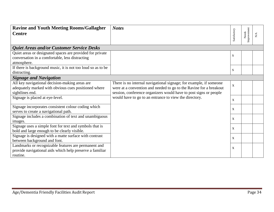| <b>Ravine and Youth Meeting Rooms/Gallagher</b>              | <b>Notes</b>                                                       |              |                      |             |
|--------------------------------------------------------------|--------------------------------------------------------------------|--------------|----------------------|-------------|
| <b>Centre</b>                                                |                                                                    | Satisfactory | Improvement<br>Needs | ${\rm N/A}$ |
|                                                              |                                                                    |              |                      |             |
| <b>Quiet Areas and/or Customer Service Desks</b>             |                                                                    |              |                      |             |
| Quiet areas or designated spaces are provided for private    |                                                                    | S            |                      |             |
| conversation in a comfortable, less distracting              |                                                                    |              |                      |             |
| atmosphere.                                                  |                                                                    |              |                      |             |
| If there is background music, it is not too loud so as to be |                                                                    | S            |                      |             |
| distracting.                                                 |                                                                    |              |                      |             |
| <b>Signage and Navigation</b>                                |                                                                    |              |                      |             |
| All key navigational decision-making areas are               | There is no internal navigational signage; for example, if someone | $\mathbf{X}$ |                      |             |
| adequately marked with obvious cues positioned where         | were at a convention and needed to go to the Ravine for a breakout |              |                      |             |
| sightlines end.                                              | session, conference organizers would have to post signs or people  |              |                      |             |
| Signage is placed at eye-level.                              | would have to go to an entrance to view the directory.             | $\mathbf{X}$ |                      |             |
| Signage incorporates consistent colour coding which          |                                                                    |              |                      |             |
| serves to create a navigational path.                        |                                                                    | $\mathbf{X}$ |                      |             |
| Signage includes a combination of text and unambiguous       |                                                                    | X            |                      |             |
| images.                                                      |                                                                    |              |                      |             |
| Signage uses a simple font for text and symbols that is      |                                                                    | $\mathbf{x}$ |                      |             |
| bold and large enough to be clearly visible.                 |                                                                    |              |                      |             |
| Signage is designed with a matte surface with contrast       |                                                                    | $\mathbf{X}$ |                      |             |
| between background and font.                                 |                                                                    |              |                      |             |
| Landmarks or recognizable features are permanent and         |                                                                    | X            |                      |             |
| provide navigational aids which help preserve a familiar     |                                                                    |              |                      |             |
| routine.                                                     |                                                                    |              |                      |             |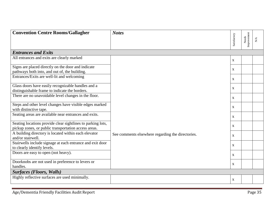<span id="page-34-0"></span>

| <b>Convention Centre Rooms/Gallagher</b>                                  | <b>Notes</b>                                      |              |                      |                                                             |
|---------------------------------------------------------------------------|---------------------------------------------------|--------------|----------------------|-------------------------------------------------------------|
|                                                                           |                                                   | Satisfactory | Needs<br>Improvement | $\mathop{\mathsf{N}}\nolimits\!mathop{\mathsf{A}}\nolimits$ |
| <b>Entrances and Exits</b>                                                |                                                   |              |                      |                                                             |
| All entrances and exits are clearly marked                                |                                                   | $\mathbf{X}$ |                      |                                                             |
| Signs are placed directly on the door and indicate                        |                                                   | $\mathbf{X}$ |                      |                                                             |
| pathways both into, and out of, the building.                             |                                                   |              |                      |                                                             |
| Entrances/Exits are well-lit and welcoming                                |                                                   | X            |                      |                                                             |
| Glass doors have easily recognizable handles and a                        |                                                   | X            |                      |                                                             |
| distinguishable frame to indicate the borders.                            |                                                   |              |                      |                                                             |
| There are no unavoidable level changes in the floor.                      |                                                   | $\mathbf{X}$ |                      |                                                             |
| Steps and other level changes have visible edges marked                   |                                                   | $\mathbf{X}$ |                      |                                                             |
| with distinctive tape.                                                    |                                                   |              |                      |                                                             |
| Seating areas are available near entrances and exits.                     |                                                   | X            |                      |                                                             |
| Seating locations provide clear sightlines to parking lots,               |                                                   | X            |                      |                                                             |
| pickup zones, or public transportation access areas.                      |                                                   |              |                      |                                                             |
| A building directory is located within each elevator<br>and/or stairwell. | See comments elsewhere regarding the directories. | X            |                      |                                                             |
| Stairwells include signage at each entrance and exit door                 |                                                   | X            |                      |                                                             |
| to clearly identify levels.                                               |                                                   |              |                      |                                                             |
| Doors are easy to open (not heavy).                                       |                                                   | $\mathbf{X}$ |                      |                                                             |
| Doorknobs are not used in preference to levers or                         |                                                   | X            |                      |                                                             |
| handles.                                                                  |                                                   |              |                      |                                                             |
| <b>Surfaces (Floors, Walls)</b>                                           |                                                   |              |                      |                                                             |
| Highly reflective surfaces are used minimally.                            |                                                   | $\mathbf{X}$ |                      |                                                             |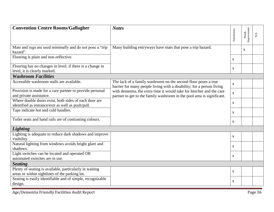| <b>Convention Centre Rooms/Gallagher</b>                                                                   | <b>Notes</b>                                                                                                                                                                                                                                                                              |                           |                      |                  |
|------------------------------------------------------------------------------------------------------------|-------------------------------------------------------------------------------------------------------------------------------------------------------------------------------------------------------------------------------------------------------------------------------------------|---------------------------|----------------------|------------------|
|                                                                                                            |                                                                                                                                                                                                                                                                                           | Satisfactory              | Needs<br>Improvement | $\sum_{i=1}^{n}$ |
| Mats and rugs are used minimally and do not pose a "trip"<br>hazard".                                      | Many building entryways have mats that pose a trip hazard.                                                                                                                                                                                                                                |                           | $\mathbf{X}$         |                  |
| Flooring is plain and non-reflective.                                                                      |                                                                                                                                                                                                                                                                                           | $\mathbf X$               |                      |                  |
| Flooring has no changes in level; if there is a change in<br>level, it is clearly marked.                  |                                                                                                                                                                                                                                                                                           | $\mathbf X$               |                      |                  |
| <b>Washroom Facilities</b>                                                                                 |                                                                                                                                                                                                                                                                                           |                           |                      |                  |
| Accessible washroom stalls are available.                                                                  | The lack of a family washroom on the second floor poses a true<br>barrier for many people living with a disability; for a person living<br>with dementia, the extra time it would take for him/her and the care<br>partner to get to the family washroom in the pool area is significant. | $\mathbf{X}$              |                      |                  |
| Provision is made for a care partner to provide personal<br>and private assistance.                        |                                                                                                                                                                                                                                                                                           | $\mathbf{X}$              |                      |                  |
| Where double doors exist, both sides of each door are<br>identified as entrance/exit as well as push/pull. |                                                                                                                                                                                                                                                                                           | $\mathbf X$               |                      |                  |
| Taps indicate hot and cold handles.                                                                        |                                                                                                                                                                                                                                                                                           | $\mathbf X$               |                      |                  |
| Toilet seats and hand rails are of contrasting colours.                                                    |                                                                                                                                                                                                                                                                                           | $\mathbf X$               |                      |                  |
| <b>Lighting</b>                                                                                            |                                                                                                                                                                                                                                                                                           |                           |                      |                  |
| Lighting is adequate to reduce dark shadows and improve<br>visibility.                                     |                                                                                                                                                                                                                                                                                           | $\mathbf{X}$              |                      |                  |
| Natural lighting from windows avoids bright glare and<br>shadows.                                          |                                                                                                                                                                                                                                                                                           | $\mathbf X$               |                      |                  |
| Light switches can be located and operated OR<br>automated switches are in use.                            |                                                                                                                                                                                                                                                                                           | X                         |                      |                  |
| <b>Seating</b>                                                                                             |                                                                                                                                                                                                                                                                                           |                           |                      |                  |
| Plenty of seating is available, particularly in waiting<br>areas or within sightlines of the parking lot.  |                                                                                                                                                                                                                                                                                           | $\boldsymbol{\mathrm{X}}$ |                      |                  |
| Seating is easily identifiable and of simple, recognizable<br>design.                                      |                                                                                                                                                                                                                                                                                           | $\mathbf X$               |                      |                  |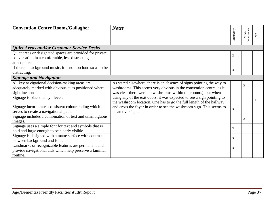| <b>Convention Centre Rooms/Gallagher</b>                     | <b>Notes</b>                                                                                                                                  | Satisfactory | Improvement<br>Needs | $\mathbf{N}/\mathbf{A}$ |
|--------------------------------------------------------------|-----------------------------------------------------------------------------------------------------------------------------------------------|--------------|----------------------|-------------------------|
|                                                              |                                                                                                                                               |              |                      |                         |
| Quiet Areas and/or Customer Service Desks                    |                                                                                                                                               |              |                      |                         |
| Quiet areas or designated spaces are provided for private    |                                                                                                                                               | $\mathbf X$  |                      |                         |
| conversation in a comfortable, less distracting              |                                                                                                                                               |              |                      |                         |
| atmosphere.                                                  |                                                                                                                                               |              |                      |                         |
| If there is background music, it is not too loud so as to be |                                                                                                                                               | X            |                      |                         |
| distracting.                                                 |                                                                                                                                               |              |                      |                         |
| <b>Signage and Navigation</b>                                |                                                                                                                                               |              |                      |                         |
| All key navigational decision-making areas are               | As stated elsewhere, there is an absence of signs pointing the way to                                                                         |              | X                    |                         |
| adequately marked with obvious cues positioned where         | washrooms. This seems very obvious in the convention centre, as it                                                                            |              |                      |                         |
| sightlines end.                                              | was clear there were no washrooms within the room(s), but when                                                                                |              |                      |                         |
| Signage is placed at eye-level.                              | using any of the exit doors, it was expected to see a sign pointing to<br>the washroom location. One has to go the full length of the hallway |              |                      | X                       |
| Signage incorporates consistent colour coding which          | and cross the foyer in order to see the washroom sign. This seems to                                                                          | $\mathbf X$  |                      |                         |
| serves to create a navigational path.                        | be an oversight.                                                                                                                              |              |                      |                         |
| Signage includes a combination of text and unambiguous       |                                                                                                                                               |              | X                    |                         |
| images.                                                      |                                                                                                                                               |              |                      |                         |
| Signage uses a simple font for text and symbols that is      |                                                                                                                                               | X            |                      |                         |
| bold and large enough to be clearly visible.                 |                                                                                                                                               |              |                      |                         |
| Signage is designed with a matte surface with contrast       |                                                                                                                                               | $\mathbf X$  |                      |                         |
| between background and font.                                 |                                                                                                                                               |              |                      |                         |
| Landmarks or recognizable features are permanent and         |                                                                                                                                               | X            |                      |                         |
| provide navigational aids which help preserve a familiar     |                                                                                                                                               |              |                      |                         |
| routine.                                                     |                                                                                                                                               |              |                      |                         |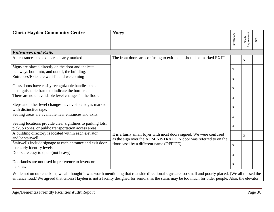<span id="page-37-0"></span>

| <b>Gloria Hayden Community Centre</b>                                                                               | <b>Notes</b>                                                                                                                           | Satisfactory              | Needs<br>Improvement | ${\rm N/A}$ |
|---------------------------------------------------------------------------------------------------------------------|----------------------------------------------------------------------------------------------------------------------------------------|---------------------------|----------------------|-------------|
| <b>Entrances and Exits</b>                                                                                          |                                                                                                                                        |                           |                      |             |
| All entrances and exits are clearly marked                                                                          | The front doors are confusing to $exit$ – one should be marked EXIT.                                                                   |                           | $\mathbf{X}$         |             |
| Signs are placed directly on the door and indicate<br>pathways both into, and out of, the building.                 |                                                                                                                                        | X                         |                      |             |
| Entrances/Exits are well-lit and welcoming                                                                          |                                                                                                                                        | X                         |                      |             |
| Glass doors have easily recognizable handles and a<br>distinguishable frame to indicate the borders.                |                                                                                                                                        | X                         |                      |             |
| There are no unavoidable level changes in the floor.                                                                |                                                                                                                                        | X                         |                      |             |
| Steps and other level changes have visible edges marked<br>with distinctive tape.                                   |                                                                                                                                        | X                         |                      |             |
| Seating areas are available near entrances and exits.                                                               |                                                                                                                                        | $\mathbf X$               |                      |             |
| Seating locations provide clear sightlines to parking lots,<br>pickup zones, or public transportation access areas. |                                                                                                                                        | $\boldsymbol{\mathrm{X}}$ |                      |             |
| A building directory is located within each elevator<br>and/or stairwell.                                           | It is a fairly small foyer with most doors signed. We were confused<br>as the sign over the ADMINISTRATION door was referred to on the |                           | $\mathbf{X}$         |             |
| Stairwells include signage at each entrance and exit door<br>to clearly identify levels.                            | floor easel by a different name (OFFICE).                                                                                              | $\mathbf X$               |                      |             |
| Doors are easy to open (not heavy).                                                                                 |                                                                                                                                        | $\mathbf{X}$              |                      |             |
| Doorknobs are not used in preference to levers or<br>handles.                                                       |                                                                                                                                        | X                         |                      |             |

While not on our checklist, we all thought it was worth mentioning that roadside directional signs are too small and poorly placed. (We all missed the entrance road.)We agreed that Gloria Hayden is not a facility designed for seniors, as the stairs may be too much for older people. Also, the elevator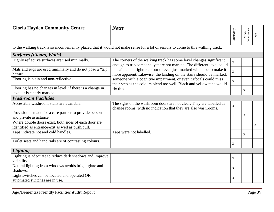| <b>Gloria Hayden Community Centre</b>                                                                      | <b>Notes</b>                                                                                                                                  | Satisfactory              | Needs<br>Improvement | $\mathbf{N}/\mathbf{A}$ |
|------------------------------------------------------------------------------------------------------------|-----------------------------------------------------------------------------------------------------------------------------------------------|---------------------------|----------------------|-------------------------|
|                                                                                                            |                                                                                                                                               |                           |                      |                         |
|                                                                                                            | to the walking track is so inconveniently placed that it would not make sense for a lot of seniors to come to this walking track.             |                           |                      |                         |
| <b>Surfaces (Floors, Walls)</b>                                                                            |                                                                                                                                               |                           |                      |                         |
| Highly reflective surfaces are used minimally.                                                             | The corners of the walking track has some level changes significant<br>enough to trip someone, yet are not marked. The different level could  | $\mathbf{X}$              |                      |                         |
| Mats and rugs are used minimally and do not pose a "trip<br>hazard".                                       | be painted a brighter colour or even just marked with tape to make it<br>more apparent. Likewise, the landing on the stairs should be marked: | $\mathbf{X}$              |                      |                         |
| Flooring is plain and non-reflective.                                                                      | someone with a cognitive impairment, or even trifocals could miss<br>their step as the colours blend too well. Black and yellow tape would    | $\mathbf X$               |                      |                         |
| Flooring has no changes in level; if there is a change in<br>level, it is clearly marked.                  | fix this.                                                                                                                                     |                           | X                    |                         |
| <b>Washroom Facilities</b>                                                                                 |                                                                                                                                               |                           |                      |                         |
| Accessible washroom stalls are available.                                                                  | The signs on the washroom doors are not clear. They are labelled as<br>change rooms, with no indication that they are also washrooms.         | $\mathbf X$               |                      |                         |
| Provision is made for a care partner to provide personal<br>and private assistance.                        |                                                                                                                                               |                           | X                    |                         |
| Where double doors exist, both sides of each door are<br>identified as entrance/exit as well as push/pull. |                                                                                                                                               |                           |                      | X                       |
| Taps indicate hot and cold handles.                                                                        | Taps were not labelled.                                                                                                                       |                           | X                    |                         |
| Toilet seats and hand rails are of contrasting colours.                                                    |                                                                                                                                               | $\mathbf X$               |                      |                         |
| <b>Lighting</b>                                                                                            |                                                                                                                                               |                           |                      |                         |
| Lighting is adequate to reduce dark shadows and improve<br>visibility.                                     |                                                                                                                                               | $\mathbf{X}$              |                      |                         |
| Natural lighting from windows avoids bright glare and<br>shadows.                                          |                                                                                                                                               | $\mathbf X$               |                      |                         |
| Light switches can be located and operated OR<br>automated switches are in use.                            |                                                                                                                                               | $\boldsymbol{\mathrm{X}}$ |                      |                         |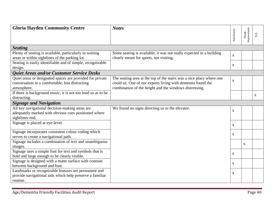| <b>Gloria Hayden Community Centre</b>                        | <b>Notes</b>                                                         |              |                      |                     |
|--------------------------------------------------------------|----------------------------------------------------------------------|--------------|----------------------|---------------------|
|                                                              |                                                                      | Satisfactory | Needs<br>Improvement | ${\rm N}\mathsf{A}$ |
|                                                              |                                                                      |              |                      |                     |
| <b>Seating</b>                                               |                                                                      |              |                      |                     |
| Plenty of seating is available, particularly in waiting      | Some seating is available; it was not really expected in a building  | $\mathbf{x}$ |                      |                     |
| areas or within sightlines of the parking lot.               | clearly meant for sports, not visiting.                              |              |                      |                     |
| Seating is easily identifiable and of simple, recognizable   |                                                                      | X            |                      |                     |
| design.                                                      |                                                                      |              |                      |                     |
| Quiet Areas and/or Customer Service Desks                    |                                                                      |              |                      |                     |
| Quiet areas or designated spaces are provided for private    | The seating area at the top of the stairs was a nice place where one | X            |                      |                     |
| conversation in a comfortable, less distracting              | could sit. One of our experts living with dementia found the         |              |                      |                     |
| atmosphere.                                                  | combination of the height and the windows distressing.               |              |                      |                     |
| If there is background music, it is not too loud so as to be |                                                                      |              |                      | $\mathbf X$         |
| distracting.                                                 |                                                                      |              |                      |                     |
| <b>Signage and Navigation</b>                                |                                                                      |              |                      |                     |
| All key navigational decision-making areas are               | We found no signs directing us to the elevator.                      | $\mathbf{X}$ |                      |                     |
| adequately marked with obvious cues positioned where         |                                                                      |              |                      |                     |
| sightlines end.                                              |                                                                      |              |                      |                     |
| Signage is placed at eye-level.                              |                                                                      | X            |                      |                     |
| Signage incorporates consistent colour coding which          |                                                                      |              |                      |                     |
| serves to create a navigational path.                        |                                                                      | $\mathbf{X}$ |                      |                     |
| Signage includes a combination of text and unambiguous       |                                                                      |              |                      |                     |
| images.                                                      |                                                                      |              | $\mathbf X$          |                     |
| Signage uses a simple font for text and symbols that is      |                                                                      |              |                      |                     |
| bold and large enough to be clearly visible.                 |                                                                      | X            |                      |                     |
| Signage is designed with a matte surface with contrast       |                                                                      |              |                      |                     |
| between background and font.                                 |                                                                      | X            |                      |                     |
| Landmarks or recognizable features are permanent and         |                                                                      |              |                      |                     |
| provide navigational aids which help preserve a familiar     |                                                                      | $\mathbf X$  |                      |                     |
| routine.                                                     |                                                                      |              |                      |                     |
|                                                              |                                                                      |              |                      |                     |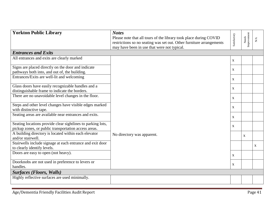<span id="page-40-0"></span>

| <b>Yorkton Public Library</b>                                             | <b>Notes</b>                                                         |              |                      |                        |
|---------------------------------------------------------------------------|----------------------------------------------------------------------|--------------|----------------------|------------------------|
|                                                                           | Please note that all tours of the library took place during COVID    | Satisfactory | Needs<br>Improvement |                        |
|                                                                           | restrictions so no seating was set out. Other furniture arrangements |              |                      | $\mathbf{N}\mathbf{A}$ |
|                                                                           | may have been in use that were not typical.                          |              |                      |                        |
| <b>Entrances and Exits</b>                                                |                                                                      |              |                      |                        |
| All entrances and exits are clearly marked                                |                                                                      | $\mathbf{X}$ |                      |                        |
|                                                                           |                                                                      |              |                      |                        |
| Signs are placed directly on the door and indicate                        |                                                                      | $\mathbf{X}$ |                      |                        |
| pathways both into, and out of, the building.                             |                                                                      |              |                      |                        |
| Entrances/Exits are well-lit and welcoming                                |                                                                      | $\mathbf{X}$ |                      |                        |
| Glass doors have easily recognizable handles and a                        |                                                                      | $\mathbf{X}$ |                      |                        |
| distinguishable frame to indicate the borders.                            |                                                                      |              |                      |                        |
| There are no unavoidable level changes in the floor.                      |                                                                      | $\mathbf{X}$ |                      |                        |
| Steps and other level changes have visible edges marked                   |                                                                      |              |                      |                        |
| with distinctive tape.                                                    |                                                                      | $\mathbf{X}$ |                      |                        |
| Seating areas are available near entrances and exits.                     |                                                                      | $\mathbf{X}$ |                      |                        |
| Seating locations provide clear sightlines to parking lots,               |                                                                      |              |                      |                        |
| pickup zones, or public transportation access areas.                      |                                                                      | X            |                      |                        |
| A building directory is located within each elevator<br>and/or stairwell. | No directory was apparent.                                           |              | $\mathbf{X}$         |                        |
| Stairwells include signage at each entrance and exit door                 |                                                                      |              |                      |                        |
| to clearly identify levels.                                               |                                                                      |              |                      | X                      |
| Doors are easy to open (not heavy).                                       |                                                                      |              |                      |                        |
|                                                                           |                                                                      | $\mathbf{X}$ |                      |                        |
| Doorknobs are not used in preference to levers or                         |                                                                      | $\mathbf X$  |                      |                        |
| handles.                                                                  |                                                                      |              |                      |                        |
| <b>Surfaces (Floors, Walls)</b>                                           |                                                                      |              |                      |                        |
| Highly reflective surfaces are used minimally.                            |                                                                      |              |                      |                        |
|                                                                           |                                                                      |              |                      |                        |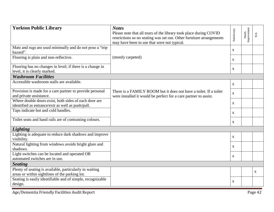| <b>Yorkton Public Library</b>                                                                              | <b>Notes</b><br>Please note that all tours of the library took place during COVID<br>restrictions so no seating was set out. Other furniture arrangements<br>may have been in use that were not typical. | Satisfactory | Needs<br>Improvement | $\sum_{i=1}^{n}$ |  |  |
|------------------------------------------------------------------------------------------------------------|----------------------------------------------------------------------------------------------------------------------------------------------------------------------------------------------------------|--------------|----------------------|------------------|--|--|
| Mats and rugs are used minimally and do not pose a "trip"<br>hazard".                                      |                                                                                                                                                                                                          | $\mathbf{X}$ |                      |                  |  |  |
| Flooring is plain and non-reflective.                                                                      | (mostly carpeted)                                                                                                                                                                                        | $\mathbf{X}$ |                      |                  |  |  |
| Flooring has no changes in level; if there is a change in<br>level, it is clearly marked.                  |                                                                                                                                                                                                          | $\mathbf X$  |                      |                  |  |  |
| <b>Washroom Facilities</b>                                                                                 |                                                                                                                                                                                                          |              |                      |                  |  |  |
| Accessible washroom stalls are available.                                                                  |                                                                                                                                                                                                          | $\mathbf{X}$ |                      |                  |  |  |
| Provision is made for a care partner to provide personal<br>and private assistance.                        | There is a FAMILY ROOM but it does not have a toilet. If a toilet<br>were installed it would be perfect for a care partner to assist.                                                                    | $\mathbf X$  |                      |                  |  |  |
| Where double doors exist, both sides of each door are<br>identified as entrance/exit as well as push/pull. |                                                                                                                                                                                                          | $\mathbf{X}$ |                      |                  |  |  |
| Taps indicate hot and cold handles.                                                                        |                                                                                                                                                                                                          | $\mathbf{X}$ |                      |                  |  |  |
| Toilet seats and hand rails are of contrasting colours.                                                    |                                                                                                                                                                                                          | $\mathbf{X}$ |                      |                  |  |  |
| <b>Lighting</b>                                                                                            |                                                                                                                                                                                                          |              |                      |                  |  |  |
| Lighting is adequate to reduce dark shadows and improve<br>visibility.                                     |                                                                                                                                                                                                          | $\mathbf{X}$ |                      |                  |  |  |
| Natural lighting from windows avoids bright glare and<br>shadows.                                          |                                                                                                                                                                                                          | $\mathbf{X}$ |                      |                  |  |  |
| Light switches can be located and operated OR<br>automated switches are in use.                            |                                                                                                                                                                                                          | $\mathbf X$  |                      |                  |  |  |
| <b>Seating</b>                                                                                             |                                                                                                                                                                                                          |              |                      |                  |  |  |
| Plenty of seating is available, particularly in waiting<br>areas or within sightlines of the parking lot.  |                                                                                                                                                                                                          |              |                      | $\mathbf X$      |  |  |
| Seating is easily identifiable and of simple, recognizable<br>design.                                      |                                                                                                                                                                                                          | $\mathbf X$  |                      |                  |  |  |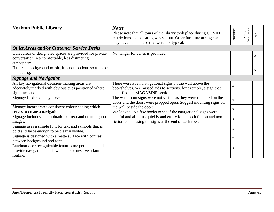| <b>Yorkton Public Library</b>                                                                                                | <b>Notes</b><br>Please note that all tours of the library took place during COVID<br>restrictions so no seating was set out. Other furniture arrangements<br>may have been in use that were not typical. | Satisfactory              | Improvement<br>Needs | $\mathop{\mathsf{N}}\nolimits\mathop{\mathsf{A}}$ |
|------------------------------------------------------------------------------------------------------------------------------|----------------------------------------------------------------------------------------------------------------------------------------------------------------------------------------------------------|---------------------------|----------------------|---------------------------------------------------|
| <b>Quiet Areas and/or Customer Service Desks</b>                                                                             |                                                                                                                                                                                                          |                           |                      |                                                   |
| Quiet areas or designated spaces are provided for private<br>conversation in a comfortable, less distracting<br>atmosphere.  | No hanger for canes is provided.                                                                                                                                                                         |                           |                      | $\mathbf X$                                       |
| If there is background music, it is not too loud so as to be                                                                 |                                                                                                                                                                                                          |                           |                      |                                                   |
| distracting.                                                                                                                 |                                                                                                                                                                                                          |                           |                      | X                                                 |
| <b>Signage and Navigation</b>                                                                                                |                                                                                                                                                                                                          |                           |                      |                                                   |
| All key navigational decision-making areas are<br>adequately marked with obvious cues positioned where<br>sightlines end.    | There were a few navigational signs on the wall above the<br>bookshelves. We missed aids to sections, for example, a sign that<br>identified the MAGAZINE section.                                       | $\mathbf{X}$              |                      |                                                   |
| Signage is placed at eye-level.                                                                                              | The washroom signs were not visible as they were mounted on the<br>doors and the doors were propped open. Suggest mounting signs on                                                                      | $\boldsymbol{\mathrm{X}}$ |                      |                                                   |
| Signage incorporates consistent colour coding which<br>serves to create a navigational path.                                 | the wall beside the doors.<br>We looked up a few books to see if the navigational signs were                                                                                                             | X                         |                      |                                                   |
| Signage includes a combination of text and unambiguous<br>images.                                                            | helpful and all of us quickly and easily found both fiction and non-<br>fiction books using the signs at the end of each row.                                                                            | $\mathbf{X}$              |                      |                                                   |
| Signage uses a simple font for text and symbols that is<br>bold and large enough to be clearly visible.                      |                                                                                                                                                                                                          | $\mathbf{X}$              |                      |                                                   |
| Signage is designed with a matte surface with contrast<br>between background and font.                                       |                                                                                                                                                                                                          | $\mathbf{X}$              |                      |                                                   |
| Landmarks or recognizable features are permanent and<br>provide navigational aids which help preserve a familiar<br>routine. |                                                                                                                                                                                                          | X                         |                      |                                                   |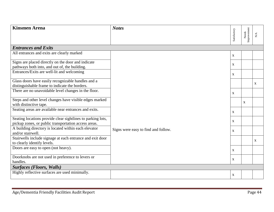<span id="page-43-0"></span>

| <b>Kinsmen Arena</b>                                                      | <b>Notes</b>                        |              |                      |                      |
|---------------------------------------------------------------------------|-------------------------------------|--------------|----------------------|----------------------|
|                                                                           |                                     | Satisfactory | Needs<br>Improvement | ${\rm N}{\mathsf A}$ |
|                                                                           |                                     |              |                      |                      |
| <b>Entrances and Exits</b>                                                |                                     |              |                      |                      |
| All entrances and exits are clearly marked                                |                                     | $\mathbf{X}$ |                      |                      |
| Signs are placed directly on the door and indicate                        |                                     | $\mathbf{x}$ |                      |                      |
| pathways both into, and out of, the building.                             |                                     |              |                      |                      |
| Entrances/Exits are well-lit and welcoming                                |                                     | $\mathbf{X}$ |                      |                      |
| Glass doors have easily recognizable handles and a                        |                                     |              |                      | X                    |
| distinguishable frame to indicate the borders.                            |                                     |              |                      |                      |
| There are no unavoidable level changes in the floor.                      |                                     | $\mathbf{X}$ |                      |                      |
| Steps and other level changes have visible edges marked                   |                                     |              | $\mathbf{X}$         |                      |
| with distinctive tape.                                                    |                                     |              |                      |                      |
| Seating areas are available near entrances and exits.                     |                                     | $\mathbf{X}$ |                      |                      |
| Seating locations provide clear sightlines to parking lots,               |                                     | $\mathbf{X}$ |                      |                      |
| pickup zones, or public transportation access areas.                      |                                     |              |                      |                      |
| A building directory is located within each elevator<br>and/or stairwell. | Signs were easy to find and follow. | $\mathbf{X}$ |                      |                      |
| Stairwells include signage at each entrance and exit door                 |                                     |              |                      | X                    |
| to clearly identify levels.                                               |                                     |              |                      |                      |
| Doors are easy to open (not heavy).                                       |                                     | $\mathbf{x}$ |                      |                      |
| Doorknobs are not used in preference to levers or                         |                                     | $\mathbf X$  |                      |                      |
| handles.                                                                  |                                     |              |                      |                      |
| <b>Surfaces (Floors, Walls)</b>                                           |                                     |              |                      |                      |
| Highly reflective surfaces are used minimally.                            |                                     | $\mathbf X$  |                      |                      |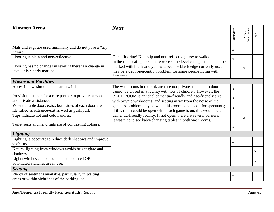| <b>Kinsmen Arena</b>                                                                                       | <b>Notes</b>                                                                                                                                   |              |                      |              |
|------------------------------------------------------------------------------------------------------------|------------------------------------------------------------------------------------------------------------------------------------------------|--------------|----------------------|--------------|
|                                                                                                            |                                                                                                                                                | Satisfactory | Needs<br>Improvement | N/A          |
|                                                                                                            |                                                                                                                                                |              |                      |              |
| Mats and rugs are used minimally and do not pose a "trip<br>hazard".                                       |                                                                                                                                                | $\mathbf X$  |                      |              |
| Flooring is plain and non-reflective.                                                                      | Great flooring! Non-slip and non-reflective; easy to walk on.<br>In the rink seating area, there were some level changes that could be         | $\mathbf X$  |                      |              |
| Flooring has no changes in level; if there is a change in<br>level, it is clearly marked.                  | marked with black and yellow tape. The black edge currently used<br>may be a depth-perception problem for some people living with<br>dementia. |              | $\mathbf X$          |              |
| <b>Washroom Facilities</b>                                                                                 |                                                                                                                                                |              |                      |              |
| Accessible washroom stalls are available.                                                                  | The washrooms in the rink area are not private as the main door<br>cannot be closed in a facility with lots of children. However, the          | $\mathbf{X}$ |                      |              |
| Provision is made for a care partner to provide personal<br>and private assistance.                        | BLUE ROOM is an ideal dementia-friendly and age-friendly area,<br>with private washrooms, and seating away from the noise of the               | $\mathbf X$  |                      |              |
| Where double doors exist, both sides of each door are<br>identified as entrance/exit as well as push/pull. | game. A problem may be when this room is not open for spectators;<br>if this room could be open while each game is on, this would be a         | $\mathbf X$  |                      |              |
| Taps indicate hot and cold handles.                                                                        | dementia-friendly facility. If not open, there are several barriers.<br>It was nice to see baby-changing tables in both washrooms.             |              | X                    |              |
| Toilet seats and hand rails are of contrasting colours.                                                    |                                                                                                                                                | $\mathbf X$  |                      |              |
| <b>Lighting</b>                                                                                            |                                                                                                                                                |              |                      |              |
| Lighting is adequate to reduce dark shadows and improve<br>visibility.                                     |                                                                                                                                                | $\mathbf X$  |                      |              |
| Natural lighting from windows avoids bright glare and<br>shadows.                                          |                                                                                                                                                |              |                      | $\mathbf{X}$ |
| Light switches can be located and operated OR<br>automated switches are in use.                            |                                                                                                                                                |              |                      | $\mathbf{X}$ |
| <b>Seating</b>                                                                                             |                                                                                                                                                |              |                      |              |
| Plenty of seating is available, particularly in waiting<br>areas or within sightlines of the parking lot.  |                                                                                                                                                | $\mathbf X$  |                      |              |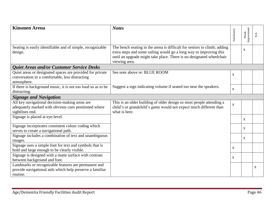| <b>Kinsmen Arena</b>                                         | <b>Notes</b>                                                             |              |                      |             |
|--------------------------------------------------------------|--------------------------------------------------------------------------|--------------|----------------------|-------------|
|                                                              |                                                                          | Satisfactory | Needs<br>Improvement | ${\rm N/A}$ |
|                                                              |                                                                          |              |                      |             |
| Seating is easily identifiable and of simple, recognizable   | The bench seating in the arena is difficult for seniors to climb; adding |              | X                    |             |
| design.                                                      | extra steps and some railing would go a long way to improving this       |              |                      |             |
|                                                              | until an upgrade might take place. There is no designated wheelchair     |              |                      |             |
|                                                              | viewing area.                                                            |              |                      |             |
| <b>Quiet Areas and/or Customer Service Desks</b>             |                                                                          |              |                      |             |
| Quiet areas or designated spaces are provided for private    | See note above re: BLUE ROOM                                             | $\mathbf X$  |                      |             |
| conversation in a comfortable, less distracting              |                                                                          |              |                      |             |
| atmosphere.                                                  |                                                                          |              |                      |             |
| If there is background music, it is not too loud so as to be | Suggest a sign indicating volume if seated too near the speakers.        | $\mathbf X$  |                      |             |
| distracting.                                                 |                                                                          |              |                      |             |
| <b>Signage and Navigation</b>                                |                                                                          |              |                      |             |
| All key navigational decision-making areas are               | This is an older building of older design so most people attending a     | $\mathbf X$  |                      |             |
| adequately marked with obvious cues positioned where         | child's or grandchild's game would not expect much different than        |              |                      |             |
| sightlines end.                                              | what is here.                                                            |              |                      |             |
| Signage is placed at eye-level.                              |                                                                          |              | $\mathbf{X}$         |             |
| Signage incorporates consistent colour coding which          |                                                                          |              | X                    |             |
| serves to create a navigational path.                        |                                                                          |              |                      |             |
| Signage includes a combination of text and unambiguous       |                                                                          |              | $\mathbf{X}$         |             |
| images.                                                      |                                                                          |              |                      |             |
| Signage uses a simple font for text and symbols that is      |                                                                          | X            |                      |             |
| bold and large enough to be clearly visible.                 |                                                                          |              |                      |             |
| Signage is designed with a matte surface with contrast       |                                                                          | X            |                      |             |
| between background and font.                                 |                                                                          |              |                      |             |
| Landmarks or recognizable features are permanent and         |                                                                          |              |                      | X           |
| provide navigational aids which help preserve a familiar     |                                                                          |              |                      |             |
| routine.                                                     |                                                                          |              |                      |             |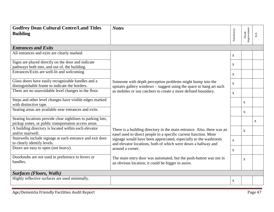<span id="page-46-0"></span>

| <b>Godfrey Dean Cultural Centre/Land Titles</b><br><b>Building</b>                                                  | <b>Notes</b>                                                                                                                                                                                       | Satisfactory              | Needs<br>Improvement | ${\rm N/A}$  |
|---------------------------------------------------------------------------------------------------------------------|----------------------------------------------------------------------------------------------------------------------------------------------------------------------------------------------------|---------------------------|----------------------|--------------|
| <b>Entrances and Exits</b>                                                                                          |                                                                                                                                                                                                    |                           |                      |              |
| All entrances and exits are clearly marked                                                                          |                                                                                                                                                                                                    | $\mathbf X$               |                      |              |
| Signs are placed directly on the door and indicate<br>pathways both into, and out of, the building.                 |                                                                                                                                                                                                    | X                         |                      |              |
| Entrances/Exits are well-lit and welcoming                                                                          |                                                                                                                                                                                                    | $\mathbf X$               |                      |              |
| Glass doors have easily recognizable handles and a<br>distinguishable frame to indicate the borders.                | Someone with depth perception problems might bump into the<br>upstairs gallery windows - suggest using the space to hang art such<br>as mobiles or sun catchers to create a more defined boundary. | $\mathbf{X}$              |                      |              |
| There are no unavoidable level changes in the floor.                                                                |                                                                                                                                                                                                    | $\mathbf{X}$              |                      |              |
| Steps and other level changes have visible edges marked<br>with distinctive tape.                                   |                                                                                                                                                                                                    |                           | $\mathbf X$          |              |
| Seating areas are available near entrances and exits.                                                               |                                                                                                                                                                                                    |                           | $\mathbf X$          |              |
| Seating locations provide clear sightlines to parking lots,<br>pickup zones, or public transportation access areas. |                                                                                                                                                                                                    |                           |                      | $\mathbf{X}$ |
| A building directory is located within each elevator<br>and/or stairwell.                                           | There is a building directory in the main entrance. Also, there was an<br>easel used to direct people to a specific current function. More                                                         |                           | $\mathbf{X}$         |              |
| Stairwells include signage at each entrance and exit door<br>to clearly identify levels.                            | signage would have been appreciated, especially to the washroom<br>and elevator locations, both of which were down a hallway and                                                                   | $\mathbf{X}$              |                      |              |
| Doors are easy to open (not heavy).                                                                                 | around a corner.                                                                                                                                                                                   | $\mathbf X$               |                      |              |
| Doorknobs are not used in preference to levers or<br>handles.                                                       | The main entry door was automated, but the push-button was not in<br>an obvious location; it could be bigger to assist.                                                                            |                           | $\mathbf X$          |              |
| <b>Surfaces (Floors, Walls)</b>                                                                                     |                                                                                                                                                                                                    |                           |                      |              |
| Highly reflective surfaces are used minimally.                                                                      |                                                                                                                                                                                                    | $\boldsymbol{\mathrm{X}}$ |                      |              |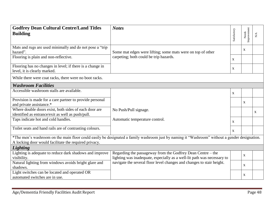| <b>Godfrey Dean Cultural Centre/Land Titles</b><br><b>Building</b>                                         | <b>Notes</b>                                                                                                                                  | Satisfactory | Needs<br>Improvement | $\sum_{i=1}^{n}$ |
|------------------------------------------------------------------------------------------------------------|-----------------------------------------------------------------------------------------------------------------------------------------------|--------------|----------------------|------------------|
| Mats and rugs are used minimally and do not pose a "trip<br>hazard".                                       | Some mat edges were lifting; some mats were on top of other                                                                                   |              | X                    |                  |
| Flooring is plain and non-reflective.                                                                      | carpeting; both could be trip hazards.                                                                                                        | $\mathbf{X}$ |                      |                  |
| Flooring has no changes in level; if there is a change in<br>level, it is clearly marked.                  |                                                                                                                                               | $\mathbf{X}$ |                      |                  |
| While there were coat racks, there were no boot racks.                                                     |                                                                                                                                               |              |                      |                  |
| <b>Washroom Facilities</b>                                                                                 |                                                                                                                                               |              |                      |                  |
| Accessible washroom stalls are available.                                                                  |                                                                                                                                               | $\mathbf{X}$ |                      |                  |
| Provision is made for a care partner to provide personal<br>and private assistance.*                       |                                                                                                                                               |              | $\mathbf{X}$         |                  |
| Where double doors exist, both sides of each door are<br>identified as entrance/exit as well as push/pull. | No Push/Pull signage.                                                                                                                         |              |                      | $\mathbf{X}$     |
| Taps indicate hot and cold handles.                                                                        | Automatic temperature control.                                                                                                                | $\mathbf{X}$ |                      |                  |
| Toilet seats and hand rails are of contrasting colours.                                                    |                                                                                                                                               | $\mathbf{x}$ |                      |                  |
| A locking door would facilitate the required privacy.                                                      | *The men's washroom on the main floor could easily be designated a family washroom just by naming it "Washroom" without a gender designation. |              |                      |                  |
| Lighting                                                                                                   |                                                                                                                                               |              |                      |                  |
| Lighting is adequate to reduce dark shadows and improve<br>visibility.                                     | Regarding the passageway from the Godfrey Dean Centre – the<br>lighting was inadequate, especially as a well-lit path was necessary to        |              | $\mathbf{X}$         |                  |
| Natural lighting from windows avoids bright glare and<br>shadows.                                          | navigate the several floor level changes and changes to stair height.                                                                         |              | X                    |                  |
| Light switches can be located and operated OR<br>automated switches are in use.                            |                                                                                                                                               |              | X                    |                  |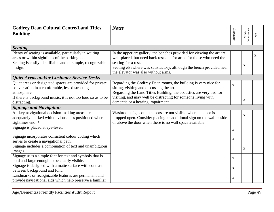| <b>Godfrey Dean Cultural Centre/Land Titles</b><br><b>Building</b>                                                          | <b>Notes</b>                                                                                                                                                                                     | Satisfactory              | Needs<br>Improvement | $\mathbf{N}/\mathbf{A}$ |
|-----------------------------------------------------------------------------------------------------------------------------|--------------------------------------------------------------------------------------------------------------------------------------------------------------------------------------------------|---------------------------|----------------------|-------------------------|
| <b>Seating</b>                                                                                                              |                                                                                                                                                                                                  |                           |                      |                         |
| Plenty of seating is available, particularly in waiting<br>areas or within sightlines of the parking lot.                   | In the upper art gallery, the benches provided for viewing the art are<br>well-placed, but need back rests and/or arms for those who need the                                                    |                           |                      | $\mathbf X$             |
| Seating is easily identifiable and of simple, recognizable<br>design.                                                       | seating for a rest.<br>Seating elsewhere was satisfactory, although the bench provided near<br>the elevator was also without arms.                                                               |                           | X                    |                         |
| Quiet Areas and/or Customer Service Desks                                                                                   |                                                                                                                                                                                                  |                           |                      |                         |
| Quiet areas or designated spaces are provided for private<br>conversation in a comfortable, less distracting<br>atmosphere. | Regarding the Godfrey Dean rooms, the building is very nice for<br>sitting, visiting and discussing the art.<br>Regarding the Land Titles Building, the acoustics are very bad for               | $\mathbf X$               |                      |                         |
| If there is background music, it is not too loud so as to be<br>distracting.                                                | visiting, and may well be distracting for someone living with<br>dementia or a hearing impairment.                                                                                               |                           | X                    |                         |
| <b>Signage and Navigation</b>                                                                                               |                                                                                                                                                                                                  |                           |                      |                         |
| All key navigational decision-making areas are<br>adequately marked with obvious cues positioned where<br>sightlines end. * | Washroom signs on the doors are not visible when the door is<br>propped open. Consider placing an additional sign on the wall beside<br>or above the door when there is no wall space available. |                           | $\mathbf X$          |                         |
| Signage is placed at eye-level.                                                                                             |                                                                                                                                                                                                  | $\mathbf{X}$              |                      |                         |
| Signage incorporates consistent colour coding which<br>serves to create a navigational path.                                |                                                                                                                                                                                                  | $\mathbf X$               |                      |                         |
| Signage includes a combination of text and unambiguous<br>images.                                                           |                                                                                                                                                                                                  |                           | X                    |                         |
| Signage uses a simple font for text and symbols that is<br>bold and large enough to be clearly visible.                     |                                                                                                                                                                                                  | X                         |                      |                         |
| Signage is designed with a matte surface with contrast<br>between background and font.                                      |                                                                                                                                                                                                  | $\mathbf X$               |                      |                         |
| Landmarks or recognizable features are permanent and<br>provide navigational aids which help preserve a familiar            |                                                                                                                                                                                                  | $\boldsymbol{\mathrm{X}}$ |                      |                         |

 $\sim$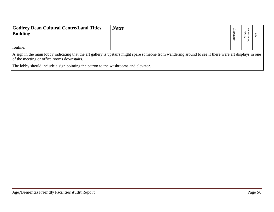| <b>Godfrey Dean Cultural Centre/Land Titles</b><br><b>Building</b>                                                                                                                                    | <b>Notes</b> | atist<br>n | ڥ |  |  |  |
|-------------------------------------------------------------------------------------------------------------------------------------------------------------------------------------------------------|--------------|------------|---|--|--|--|
| routine.                                                                                                                                                                                              |              |            |   |  |  |  |
| A sign in the main lobby indicating that the art gallery is upstairs might spare someone from wandering around to see if there were art displays in one<br>of the meeting or office rooms downstairs. |              |            |   |  |  |  |

The lobby should include a sign pointing the patron to the washrooms and elevator.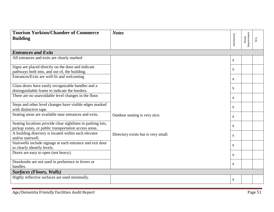<span id="page-50-0"></span>

| <b>Tourism Yorkton/Chamber of Commerce</b><br><b>Building</b>                                                       | <b>Notes</b>                        | Satisfactory | Needs<br>Improvement | $\mathbf{N}/\mathbf{A}$ |  |
|---------------------------------------------------------------------------------------------------------------------|-------------------------------------|--------------|----------------------|-------------------------|--|
| <b>Entrances and Exits</b>                                                                                          |                                     |              |                      |                         |  |
| All entrances and exits are clearly marked                                                                          |                                     | $\mathbf{X}$ |                      |                         |  |
| Signs are placed directly on the door and indicate<br>pathways both into, and out of, the building.                 |                                     | $\mathbf X$  |                      |                         |  |
| Entrances/Exits are well-lit and welcoming                                                                          |                                     | $\mathbf{X}$ |                      |                         |  |
| Glass doors have easily recognizable handles and a<br>distinguishable frame to indicate the borders.                |                                     | $\mathbf{X}$ |                      |                         |  |
| There are no unavoidable level changes in the floor.                                                                |                                     | X            |                      |                         |  |
| Steps and other level changes have visible edges marked<br>with distinctive tape.                                   |                                     | $\mathbf{X}$ |                      |                         |  |
| Seating areas are available near entrances and exits.                                                               | Outdoor seating is very nice.       | $\mathbf{X}$ |                      |                         |  |
| Seating locations provide clear sightlines to parking lots,<br>pickup zones, or public transportation access areas. |                                     | $\mathbf{X}$ |                      |                         |  |
| A building directory is located within each elevator<br>and/or stairwell.                                           | Directory exists but is very small. | $\mathbf X$  |                      |                         |  |
| Stairwells include signage at each entrance and exit door<br>to clearly identify levels.                            |                                     | $\mathbf{X}$ |                      |                         |  |
| Doors are easy to open (not heavy).                                                                                 |                                     | $\mathbf{X}$ |                      |                         |  |
| Doorknobs are not used in preference to levers or<br>handles.                                                       |                                     | $\mathbf X$  |                      |                         |  |
| <b>Surfaces (Floors, Walls)</b>                                                                                     |                                     |              |                      |                         |  |
| Highly reflective surfaces are used minimally.                                                                      |                                     | $\mathbf X$  |                      |                         |  |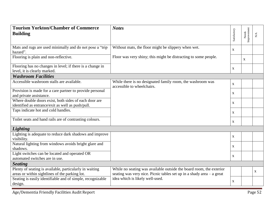| <b>Tourism Yorkton/Chamber of Commerce</b><br><b>Building</b>                                              | <b>Notes</b>                                                                                                                                 | Satisfactory | Needs<br>Improvement | $\sum_{i=1}^{n}$ |
|------------------------------------------------------------------------------------------------------------|----------------------------------------------------------------------------------------------------------------------------------------------|--------------|----------------------|------------------|
| Mats and rugs are used minimally and do not pose a "trip"<br>hazard".                                      | Without mats, the floor might be slippery when wet.                                                                                          | $\mathbf{X}$ |                      |                  |
| Flooring is plain and non-reflective.                                                                      | Floor was very shiny; this might be distracting to some people.                                                                              |              | X                    |                  |
| Flooring has no changes in level; if there is a change in<br>level, it is clearly marked.                  |                                                                                                                                              | X            |                      |                  |
| <b>Washroom Facilities</b>                                                                                 |                                                                                                                                              |              |                      |                  |
| Accessible washroom stalls are available.                                                                  | While there is no designated family room, the washroom was<br>accessible to wheelchairs.                                                     | $\mathbf{X}$ |                      |                  |
| Provision is made for a care partner to provide personal<br>and private assistance.                        |                                                                                                                                              | $\mathbf{X}$ |                      |                  |
| Where double doors exist, both sides of each door are<br>identified as entrance/exit as well as push/pull. |                                                                                                                                              | $\mathbf X$  |                      |                  |
| Taps indicate hot and cold handles.                                                                        |                                                                                                                                              | X            |                      |                  |
| Toilet seats and hand rails are of contrasting colours.                                                    |                                                                                                                                              | X            |                      |                  |
| <b>Lighting</b>                                                                                            |                                                                                                                                              |              |                      |                  |
| Lighting is adequate to reduce dark shadows and improve<br>visibility.                                     |                                                                                                                                              | $\mathbf{X}$ |                      |                  |
| Natural lighting from windows avoids bright glare and<br>shadows.                                          |                                                                                                                                              | $\mathbf{X}$ |                      |                  |
| Light switches can be located and operated OR<br>automated switches are in use.                            |                                                                                                                                              | $\mathbf{X}$ |                      |                  |
| <b>Seating</b>                                                                                             |                                                                                                                                              |              |                      |                  |
| Plenty of seating is available, particularly in waiting<br>areas or within sightlines of the parking lot.  | While no seating was available outside the board room, the exterior<br>seating was very nice. Picnic tables set up in a shady area - a great |              |                      | X                |
| Seating is easily identifiable and of simple, recognizable<br>design.                                      | idea which is likely well-used.                                                                                                              | $\mathbf{X}$ |                      |                  |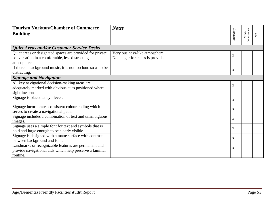| <b>Tourism Yorkton/Chamber of Commerce</b>                   | <b>Notes</b>                     |              |                      |             |
|--------------------------------------------------------------|----------------------------------|--------------|----------------------|-------------|
| <b>Building</b>                                              |                                  | Satisfactory | Improvement<br>Needs | ${\rm N/A}$ |
|                                                              |                                  |              |                      |             |
| <b>Quiet Areas and/or Customer Service Desks</b>             |                                  |              |                      |             |
| Quiet areas or designated spaces are provided for private    | Very business-like atmosphere.   | $\mathbf X$  |                      |             |
| conversation in a comfortable, less distracting              | No hanger for canes is provided. |              |                      |             |
| atmosphere.                                                  |                                  |              |                      |             |
| If there is background music, it is not too loud so as to be |                                  | $\mathbf{X}$ |                      |             |
| distracting.                                                 |                                  |              |                      |             |
| <b>Signage and Navigation</b>                                |                                  |              |                      |             |
| All key navigational decision-making areas are               |                                  | $\mathbf{X}$ |                      |             |
| adequately marked with obvious cues positioned where         |                                  |              |                      |             |
| sightlines end.                                              |                                  |              |                      |             |
| Signage is placed at eye-level.                              |                                  | X            |                      |             |
| Signage incorporates consistent colour coding which          |                                  |              |                      |             |
| serves to create a navigational path.                        |                                  | X            |                      |             |
| Signage includes a combination of text and unambiguous       |                                  | X            |                      |             |
| images.                                                      |                                  |              |                      |             |
| Signage uses a simple font for text and symbols that is      |                                  | X            |                      |             |
| bold and large enough to be clearly visible.                 |                                  |              |                      |             |
| Signage is designed with a matte surface with contrast       |                                  | X            |                      |             |
| between background and font.                                 |                                  |              |                      |             |
| Landmarks or recognizable features are permanent and         |                                  | X            |                      |             |
| provide navigational aids which help preserve a familiar     |                                  |              |                      |             |
| routine.                                                     |                                  |              |                      |             |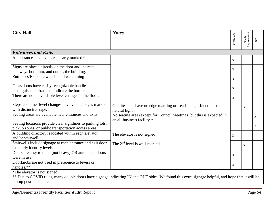<span id="page-53-0"></span>

| <b>City Hall</b>                                                                                                    | <b>Notes</b>                                                                                        |                           |                      |                         |
|---------------------------------------------------------------------------------------------------------------------|-----------------------------------------------------------------------------------------------------|---------------------------|----------------------|-------------------------|
|                                                                                                                     |                                                                                                     | Satisfactory              | Needs<br>Improvement | $\mathbf{N}/\mathbf{A}$ |
| <b>Entrances and Exits</b>                                                                                          |                                                                                                     |                           |                      |                         |
| All entrances and exits are clearly marked.*                                                                        |                                                                                                     | $\mathbf{X}$              |                      |                         |
| Signs are placed directly on the door and indicate<br>pathways both into, and out of, the building.                 |                                                                                                     | $\mathbf X$               |                      |                         |
| Entrances/Exits are well-lit and welcoming                                                                          |                                                                                                     | $\mathbf X$               |                      |                         |
| Glass doors have easily recognizable handles and a<br>distinguishable frame to indicate the borders.                |                                                                                                     | $\mathbf{X}$              |                      |                         |
| There are no unavoidable level changes in the floor.                                                                |                                                                                                     | $\mathbf X$               |                      |                         |
| Steps and other level changes have visible edges marked<br>with distinctive tape.                                   | Granite steps have no edge marking or treads; edges blend in some<br>natural light.                 |                           | $\mathbf X$          |                         |
| Seating areas are available near entrances and exits.                                                               | No seating area (except for Council Meetings) but this is expected in<br>an all-business facility.* |                           |                      | $\mathbf X$             |
| Seating locations provide clear sightlines to parking lots,<br>pickup zones, or public transportation access areas. |                                                                                                     |                           |                      | $\mathbf X$             |
| A building directory is located within each elevator<br>and/or stairwell.                                           | The elevator is not signed.                                                                         | $\mathbf X$               |                      |                         |
| Stairwells include signage at each entrance and exit door<br>to clearly identify levels.                            | The 2 <sup>nd</sup> level is well-marked.                                                           |                           | $\mathbf{X}$         |                         |
| Doors are easy to open (not heavy) OR automated doors<br>were in use.                                               |                                                                                                     | $\mathbf{X}$              |                      |                         |
| Doorknobs are not used in preference to levers or<br>handles.**                                                     |                                                                                                     | $\boldsymbol{\mathrm{X}}$ |                      |                         |
| *The elevator is not signed.                                                                                        |                                                                                                     |                           |                      |                         |

\*\* Due to COVID rules, many double doors have signage indicating IN and OUT sides. We found this extra signage helpful, and hope that it will be left up post-pandemic.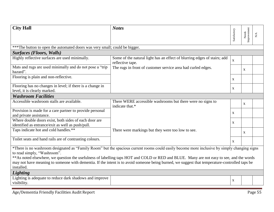| <b>City Hall</b>                                                                                                                                                                                                                                                                                         | <b>Notes</b>                                                                                 |              |                      |                         |  |
|----------------------------------------------------------------------------------------------------------------------------------------------------------------------------------------------------------------------------------------------------------------------------------------------------------|----------------------------------------------------------------------------------------------|--------------|----------------------|-------------------------|--|
|                                                                                                                                                                                                                                                                                                          |                                                                                              | Satisfactory | Improvement<br>Needs | $\mathbf{N}/\mathbf{A}$ |  |
| *** The button to open the automated doors was very small; could be bigger.                                                                                                                                                                                                                              |                                                                                              |              |                      |                         |  |
| <b>Surfaces (Floors, Walls)</b>                                                                                                                                                                                                                                                                          |                                                                                              |              |                      |                         |  |
| Highly reflective surfaces are used minimally.                                                                                                                                                                                                                                                           | Some of the natural light has an effect of blurring edges of stairs; add<br>reflective tape. | $\mathbf{x}$ |                      |                         |  |
| Mats and rugs are used minimally and do not pose a "trip"<br>hazard".                                                                                                                                                                                                                                    | The rugs in front of customer service area had curled edges.                                 |              | X                    |                         |  |
| Flooring is plain and non-reflective.                                                                                                                                                                                                                                                                    |                                                                                              | X            |                      |                         |  |
| Flooring has no changes in level; if there is a change in<br>level, it is clearly marked.                                                                                                                                                                                                                |                                                                                              | $\mathbf{X}$ |                      |                         |  |
| <b>Washroom Facilities</b>                                                                                                                                                                                                                                                                               |                                                                                              |              |                      |                         |  |
| Accessible washroom stalls are available.                                                                                                                                                                                                                                                                | There WERE accessible washrooms but there were no signs to<br>indicate that.*                |              | X                    |                         |  |
| Provision is made for a care partner to provide personal                                                                                                                                                                                                                                                 |                                                                                              | $\mathbf{X}$ |                      |                         |  |
| and private assistance.                                                                                                                                                                                                                                                                                  |                                                                                              |              |                      |                         |  |
| Where double doors exist, both sides of each door are                                                                                                                                                                                                                                                    |                                                                                              | $\mathbf{X}$ |                      |                         |  |
| identified as entrance/exit as well as push/pull.                                                                                                                                                                                                                                                        |                                                                                              |              |                      |                         |  |
| Taps indicate hot and cold handles.**                                                                                                                                                                                                                                                                    | There were markings but they were too low to see.                                            |              | X                    |                         |  |
| Toilet seats and hand rails are of contrasting colours.                                                                                                                                                                                                                                                  |                                                                                              | $\mathbf{X}$ |                      |                         |  |
| *There is no washroom designated as "Family Room" but the spacious current rooms could easily become more inclusive by simply changing signs<br>to read simply, "Washroom".                                                                                                                              |                                                                                              |              |                      |                         |  |
| ** As noted elsewhere, we question the usefulness of labelling taps HOT and COLD or RED and BLUE. Many are not easy to see, and the words<br>may not have meaning to someone with dementia. If the intent is to avoid someone being burned, we suggest that temperature-controlled taps be<br>installed. |                                                                                              |              |                      |                         |  |
| <b>Lighting</b>                                                                                                                                                                                                                                                                                          |                                                                                              |              |                      |                         |  |
| Lighting is adequate to reduce dark shadows and improve<br>visibility.                                                                                                                                                                                                                                   |                                                                                              | $\mathbf X$  |                      |                         |  |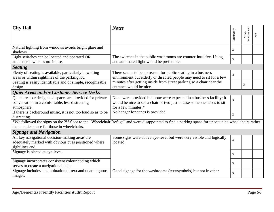| <b>City Hall</b>                                             | <b>Notes</b>                                                                                                                                                   |                           |                      |     |  |
|--------------------------------------------------------------|----------------------------------------------------------------------------------------------------------------------------------------------------------------|---------------------------|----------------------|-----|--|
|                                                              |                                                                                                                                                                | Satisfactory              | Needs<br>Improvement |     |  |
|                                                              |                                                                                                                                                                |                           |                      | N/A |  |
|                                                              |                                                                                                                                                                |                           |                      |     |  |
| Natural lighting from windows avoids bright glare and        |                                                                                                                                                                | $\mathbf X$               |                      |     |  |
| shadows.                                                     |                                                                                                                                                                |                           |                      |     |  |
| Light switches can be located and operated OR                | The switches in the public washrooms are counter-intuitive. Using                                                                                              | $\mathbf X$               |                      |     |  |
| automated switches are in use.                               | and automated light would be preferable.                                                                                                                       |                           |                      |     |  |
| <b>Seating</b>                                               |                                                                                                                                                                |                           |                      |     |  |
| Plenty of seating is available, particularly in waiting      | There seems to be no reason for public seating in a business                                                                                                   | $\mathbf{X}$              |                      |     |  |
| areas or within sightlines of the parking lot.               | environment but elderly or disabled people may need to sit for a few                                                                                           |                           |                      |     |  |
| Seating is easily identifiable and of simple, recognizable   | minutes after getting inside from street parking so a chair near the                                                                                           |                           | $\mathbf{X}$         |     |  |
| design.                                                      | entrance would be nice.                                                                                                                                        |                           |                      |     |  |
| Quiet Areas and/or Customer Service Desks                    |                                                                                                                                                                |                           |                      |     |  |
| Quiet areas or designated spaces are provided for private    | None were provided but none were expected in a business facility; it                                                                                           | $\mathbf{X}$              |                      |     |  |
| conversation in a comfortable, less distracting              | would be nice to see a chair or two just in case someone needs to sit                                                                                          |                           |                      |     |  |
| atmosphere.                                                  | for a few minutes.*                                                                                                                                            |                           |                      |     |  |
| If there is background music, it is not too loud so as to be | No hanger for canes is provided.                                                                                                                               | $\mathbf X$               |                      |     |  |
| distracting.                                                 |                                                                                                                                                                |                           |                      |     |  |
|                                                              | *We followed the signs on the 2 <sup>nd</sup> floor to the "Wheelchair Refuge" and were disappointed to find a parking space for unoccupied wheelchairs rather |                           |                      |     |  |
| than a quiet space for those in wheelchairs.                 |                                                                                                                                                                |                           |                      |     |  |
| <b>Signage and Navigation</b>                                |                                                                                                                                                                |                           |                      |     |  |
| All key navigational decision-making areas are               | Some signs were above eye-level but were very visible and logically                                                                                            | $\mathbf X$               |                      |     |  |
| adequately marked with obvious cues positioned where         | located.                                                                                                                                                       |                           |                      |     |  |
| sightlines end.                                              |                                                                                                                                                                |                           |                      |     |  |
| Signage is placed at eye-level.                              |                                                                                                                                                                | $\boldsymbol{\mathrm{X}}$ |                      |     |  |
|                                                              |                                                                                                                                                                |                           |                      |     |  |
| Signage incorporates consistent colour coding which          |                                                                                                                                                                | X                         |                      |     |  |
| serves to create a navigational path.                        |                                                                                                                                                                |                           |                      |     |  |
| Signage includes a combination of text and unambiguous       | Good signage for the washrooms (text/symbols) but not in other                                                                                                 | $\mathbf{X}$              |                      |     |  |
| images.                                                      |                                                                                                                                                                |                           |                      |     |  |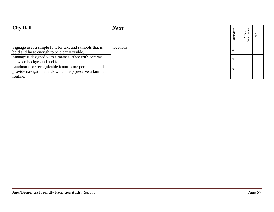| <b>City Hall</b>                                                                                                             | <b>Notes</b> | Satisfactory | Needs<br>nprove |  |
|------------------------------------------------------------------------------------------------------------------------------|--------------|--------------|-----------------|--|
| Signage uses a simple font for text and symbols that is<br>bold and large enough to be clearly visible.                      | locations.   | X            |                 |  |
| Signage is designed with a matte surface with contrast<br>between background and font.                                       |              | X            |                 |  |
| Landmarks or recognizable features are permanent and<br>provide navigational aids which help preserve a familiar<br>routine. |              | X            |                 |  |